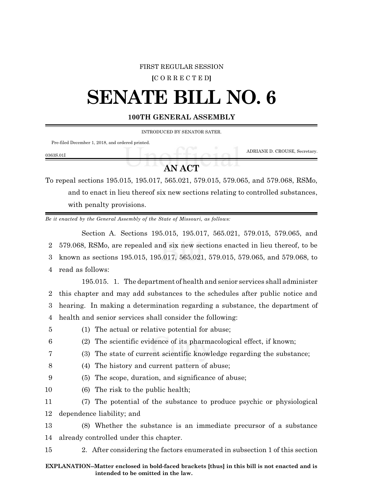#### FIRST REGULAR SESSION

### **[**C O R R E C T E D**]**

# **SENATE BILL NO. 6**

## **100TH GENERAL ASSEMBLY**

INTRODUCED BY SENATOR SATER.

Pre-filed December 1, 2018, and ordered printed.

ADRIANE D. CROUSE, Secretary.

## 0363S.01I

# **AN ACT**

To repeal sections 195.015, 195.017, 565.021, 579.015, 579.065, and 579.068, RSMo, and to enact in lieu thereof six new sections relating to controlled substances, with penalty provisions.

*Be it enacted by the General Assembly of the State of Missouri, as follows:*

Section A. Sections 195.015, 195.017, 565.021, 579.015, 579.065, and 579.068, RSMo, are repealed and six new sections enacted in lieu thereof, to be known as sections 195.015, 195.017, 565.021, 579.015, 579.065, and 579.068, to read as follows:

195.015. 1. The department of health and senior services shall administer this chapter and may add substances to the schedules after public notice and hearing. In making a determination regarding a substance, the department of health and senior services shall consider the following:

- 
- 5 (1) The actual or relative potential for abuse;
- 6 (2) The scientific evidence of its pharmacological effect, if known;
- 7 (3) The state of current scientific knowledge regarding the substance;
- 8 (4) The history and current pattern of abuse;
- 9 (5) The scope, duration, and significance of abuse;
- 10 (6) The risk to the public health;

11 (7) The potential of the substance to produce psychic or physiological 12 dependence liability; and

13 (8) Whether the substance is an immediate precursor of a substance 14 already controlled under this chapter.

15 2. After considering the factors enumerated in subsection 1 of this section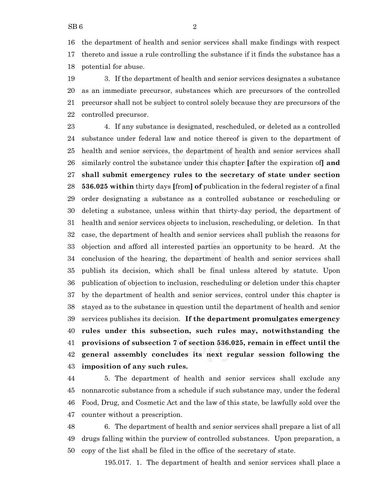the department of health and senior services shall make findings with respect thereto and issue a rule controlling the substance if it finds the substance has a potential for abuse.

 3. If the department of health and senior services designates a substance as an immediate precursor, substances which are precursors of the controlled precursor shall not be subject to control solely because they are precursors of the controlled precursor.

 4. If any substance is designated, rescheduled, or deleted as a controlled substance under federal law and notice thereof is given to the department of health and senior services, the department of health and senior services shall similarly control the substance under this chapter **[**after the expiration of**] and shall submit emergency rules to the secretary of state under section 536.025 within** thirty days **[**from**] of** publication in the federal register of a final order designating a substance as a controlled substance or rescheduling or deleting a substance, unless within that thirty-day period, the department of health and senior services objects to inclusion, rescheduling, or deletion. In that case, the department of health and senior services shall publish the reasons for objection and afford all interested parties an opportunity to be heard. At the conclusion of the hearing, the department of health and senior services shall publish its decision, which shall be final unless altered by statute. Upon publication of objection to inclusion, rescheduling or deletion under this chapter by the department of health and senior services, control under this chapter is stayed as to the substance in question until the department of health and senior services publishes its decision. **If the department promulgates emergency rules under this subsection, such rules may, notwithstanding the provisions of subsection 7 of section 536.025, remain in effect until the general assembly concludes its next regular session following the imposition of any such rules.**

 5. The department of health and senior services shall exclude any nonnarcotic substance from a schedule if such substance may, under the federal Food, Drug, and Cosmetic Act and the law of this state, be lawfully sold over the counter without a prescription.

 6. The department of health and senior services shall prepare a list of all drugs falling within the purview of controlled substances. Upon preparation, a copy of the list shall be filed in the office of the secretary of state.

195.017. 1. The department of health and senior services shall place a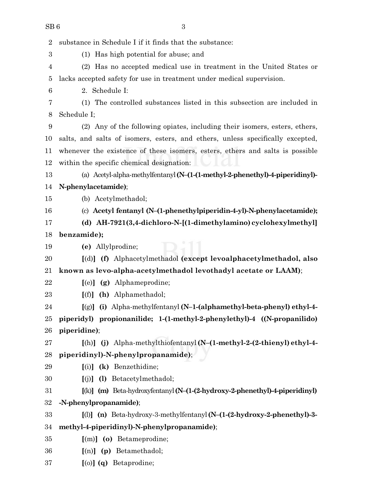| $\overline{2}$ | substance in Schedule I if it finds that the substance:                          |
|----------------|----------------------------------------------------------------------------------|
| 3              | (1) Has high potential for abuse; and                                            |
| 4              | (2) Has no accepted medical use in treatment in the United States or             |
| 5              | lacks accepted safety for use in treatment under medical supervision.            |
| 6              | 2. Schedule I:                                                                   |
| 7              | (1) The controlled substances listed in this subsection are included in          |
| 8              | Schedule I;                                                                      |
| 9              | (2) Any of the following opiates, including their isomers, esters, ethers,       |
| 10             | salts, and salts of isomers, esters, and ethers, unless specifically excepted,   |
| 11             | whenever the existence of these isomers, esters, ethers and salts is possible    |
| 12             | within the specific chemical designation:                                        |
| 13             | (a) Acetyl-alpha-methylfentanyl (N-(1-(1-methyl-2-phenethyl)-4-piperidinyl)-     |
| 14             | N-phenylacetamide);                                                              |
| 15             | (b) Acetylmethadol;                                                              |
| 16             | (c) Acetyl fentanyl (N-(1-phenethylpiperidin-4-yl)-N-phenylacetamide);           |
| 17             | (d) AH-7921(3,4-dichloro-N-[(1-dimethylamino) cyclohexylmethyl]                  |
| 18             | benzamide);                                                                      |
| 19             | (e) Allylprodine;                                                                |
| 20             | [(d)] (f) Alphacetylmethadol (except levoalphacetylmethadol, also                |
| 21             | known as levo-alpha-acetylmethadol levothadyl acetate or LAAM);                  |
| 22             | $[$ (e)] $(g)$ Alphameprodine;                                                   |
| 23             | $[(f)]$ (h) Alphamethadol;                                                       |
| 24             | [(g)] (i) Alpha-methylfentanyl (N-1-(alphamethyl-beta-phenyl) ethyl-4-           |
| 25             | piperidyl) propionanilide; 1-(1-methyl-2-phenylethyl)-4 ((N-propanilido)         |
| 26             | piperidine);                                                                     |
| 27             | [(h)] (j) Alpha-methylthiofentanyl (N-(1-methyl-2-(2-thienyl) ethyl-4-           |
| 28             | piperidinyl)-N-phenylpropanamide);                                               |
| 29             | $(i)$ (k) Benzethidine;                                                          |
| 30             | [(j)] (l) Betacetylmethadol;                                                     |
| 31             | $[(k)]$ (m) Beta-hydroxyfentanyl (N- $(1-(2-hydroxy-2-phenethyl)-4-piperidinyl)$ |
| 32             | -N-phenylpropanamide);                                                           |
| 33             | $[()]$ (n) Beta-hydroxy-3-methylfentanyl (N- $(1-(2-hydroxy-2-phenethyl)-3-1)$   |
| 34             | methyl-4-piperidinyl)-N-phenylpropanamide);                                      |
| 35             | [(m)] (o) Betameprodine;                                                         |
| 36             | $[(n)]$ (p) Betamethadol;                                                        |
| 37             | [(o)] (q) Betaprodine;                                                           |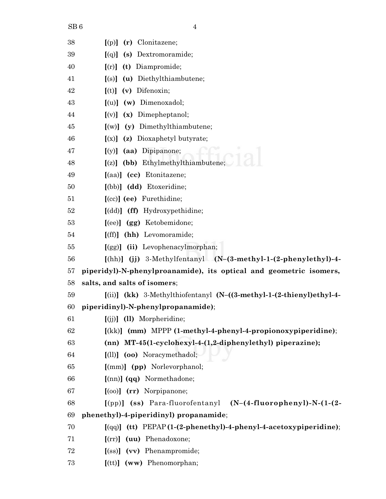| 38 | (r) Clonitazene;<br>[(p)]                                                 |
|----|---------------------------------------------------------------------------|
| 39 | Dextromoramide;<br>(s)<br>[(q)]                                           |
| 40 | (t) Diampromide;<br>[(r)]                                                 |
| 41 | $[(s)]$ (u) Diethylthiambutene;                                           |
| 42 | $[(t)]$ (v) Difenoxin;                                                    |
| 43 | (w) Dimenoxadol;<br>$\lceil$ (u)]                                         |
| 44 | Dimepheptanol;<br>(x)<br>[(v)]                                            |
| 45 | (y) Dimethylthiambutene;<br>$\lceil (w) \rceil$                           |
| 46 | $[(x)]$ (z) Dioxaphetyl butyrate;                                         |
| 47 | [(y)] (aa) Dipipanone;                                                    |
| 48 | $[(z)]$ (bb) Ethylmethylthiambutene;                                      |
| 49 | [(aa)] (cc) Etonitazene;                                                  |
| 50 | [(bb)] (dd) Etoxeridine;                                                  |
| 51 | [(cc)] (ee) Furethidine;                                                  |
| 52 | [(dd)] (ff) Hydroxypethidine;                                             |
| 53 | $[ (ee) ]$ $(gg)$ Ketobemidone;                                           |
| 54 | (hh) Levomoramide;<br>[(ff)]                                              |
| 55 | [(gg)] (ii) Levophenacylmorphan;                                          |
| 56 | $[(hh)]$ (j) 3-Methylfentanyl $(N-(3-methyl-1-(2-phenylethy))-4-$         |
| 57 | piperidyl)-N-phenylproanamide), its optical and geometric isomers,        |
| 58 | salts, and salts of isomers;                                              |
| 59 | $[(ii)]$ (kk) 3-Methylthiofentanyl (N- $((3-methyl-1-(2-thieny))ethyl-4-$ |
| 60 | piperidinyl)-N-phenylpropanamide);                                        |
| 61 | $[(jj)]$ $(11)$ Morpheridine;                                             |
| 62 | $[(kk)]$ (mm) MPPP (1-methyl-4-phenyl-4-propionoxypiperidine);            |
| 63 | (nn) MT-45(1-cyclohexyl-4-(1,2-diphenylethyl) piperazine);                |
| 64 | [(ll)] (oo) Noracymethadol;                                               |
| 65 | $[(mm)]$ (pp) Norlevorphanol;                                             |
| 66 | [(nn)] (qq) Normethadone;                                                 |
| 67 | $[ (oo) ]$ $(rr)$ Norpipanone;                                            |
| 68 | $[(pp)]$ (ss) Para-fluorofentanyl (N- $(4$ -fluorophenyl)-N- $(1-(2-$     |
| 69 | phenethyl)-4-piperidinyl) propanamide;                                    |
| 70 | $[(qq)]$ (tt) PEPAP(1-(2-phenethyl)-4-phenyl-4-acetoxypiperidine);        |
| 71 | (uu) Phenadoxone;<br>$[$ (rr) $]$                                         |
| 72 | [(ss)] (vv) Phenampromide;                                                |
| 73 | $[$ (tt)] $($ ww) Phenomorphan;                                           |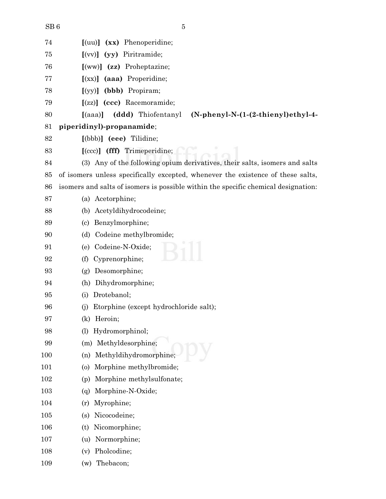| SB6 |  |
|-----|--|
|     |  |

|   | I<br>I            |  |
|---|-------------------|--|
| ٠ |                   |  |
|   | I<br>I<br>I<br>۰. |  |

| 74  | $\lceil$ (uu) $\rceil$ (xx) Phenoperidine;                                                 |
|-----|--------------------------------------------------------------------------------------------|
| 75  | (yy) Piritramide;<br>[(vv)]                                                                |
| 76  | $[(\text{ww})]$ (zz) Proheptazine;                                                         |
| 77  | (aaa) Properidine;<br>[(xx)]                                                               |
| 78  | (bbb) Propiram;<br>[(yy)]                                                                  |
| 79  | $[(zz)]$ (ccc) Racemoramide;                                                               |
| 80  | (ddd) Thiofentanyl<br>$(N$ -phenyl-N- $(1-(2-thieny))$ ethyl-4-<br>$\lbrack (aaa) \rbrack$ |
| 81  | piperidinyl)-propanamide;                                                                  |
| 82  | [(bbb)] (eee) Tilidine;                                                                    |
| 83  | [(ccc)] (fff) Trimeperidine;                                                               |
| 84  | (3) Any of the following opium derivatives, their salts, isomers and salts                 |
| 85  | of isomers unless specifically excepted, whenever the existence of these salts,            |
| 86  | isomers and salts of isomers is possible within the specific chemical designation:         |
| 87  | (a) Acetorphine;                                                                           |
| 88  | Acetyldihydrocodeine;<br>(b)                                                               |
| 89  | Benzylmorphine;<br>(c)                                                                     |
| 90  | Codeine methylbromide;<br>(d)                                                              |
| 91  | Codeine-N-Oxide;<br>(e)                                                                    |
| 92  | Cyprenorphine;<br>(f)                                                                      |
| 93  | Desomorphine;<br>(g)                                                                       |
| 94  | Dihydromorphine;<br>(h)                                                                    |
| 95  | Drotebanol;<br>(i)                                                                         |
| 96  | Etorphine (except hydrochloride salt);<br>(i)                                              |
| 97  | (k) Heroin;                                                                                |
| 98  | Hydromorphinol;<br>(1)                                                                     |
| 99  | Methyldesorphine;<br>(m)                                                                   |
| 100 | Methyldihydromorphine;<br>(n)                                                              |
| 101 | Morphine methylbromide;<br>$\circ$                                                         |
| 102 | Morphine methylsulfonate;<br>(p)                                                           |
| 103 | Morphine-N-Oxide;<br>(q)                                                                   |
| 104 | Myrophine;<br>(r)                                                                          |
| 105 | Nicocodeine;<br>(s)                                                                        |
| 106 | Nicomorphine;<br>(t)                                                                       |
| 107 | Normorphine;<br>(u)                                                                        |
| 108 | Pholcodine;<br>(v)                                                                         |
| 109 | Thebacon;<br>(w)                                                                           |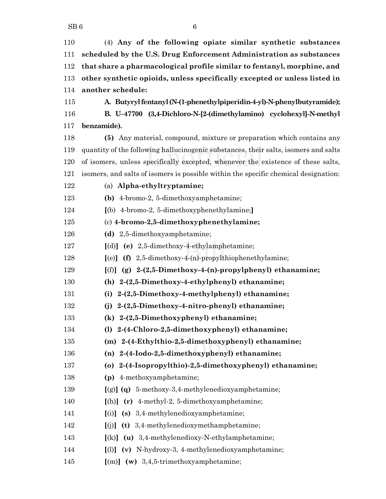(4) **Any of the following opiate similar synthetic substances scheduled by the U.S. Drug Enforcement Administration as substances that share a pharmacological profile similar to fentanyl, morphine, and other synthetic opioids, unless specifically excepted or unless listed in another schedule: A. Butyrylfentanyl(N-(1-phenethylpiperidin-4-yl)-N-phenylbutyramide); B. U–47700 (3,4-Dichloro-N-[2-(dimethylamino) cyclohexyl]-N-methyl benzamide). (5)** Any material, compound, mixture or preparation which contains any quantity of the following hallucinogenic substances, their salts, isomers and salts of isomers, unless specifically excepted, whenever the existence of these salts, isomers, and salts of isomers is possible within the specific chemical designation: (a) **Alpha-ethyltryptamine; (b)** 4-bromo-2, 5-dimethoxyamphetamine; **[**(b) 4-bromo-2, 5-dimethoxyphenethylamine;**]** (c) **4-bromo-2,5-dimethoxyphenethylamine; (d)** 2,5-dimethoxyamphetamine; **[**(d)**] (e)** 2,5-dimethoxy-4-ethylamphetamine; **[**(e)**] (f)** 2,5-dimethoxy-4-(n)-propylthiophenethylamine; **[**(f)**] (g) 2-(2,5-Dimethoxy-4-(n)-propylphenyl) ethanamine; (h) 2-(2,5-Dimethoxy-4-ethylphenyl) ethanamine; (i) 2-(2,5-Dimethoxy-4-methylphenyl) ethanamine; (j) 2-(2,5-Dimethoxy-4-nitro-phenyl) ethanamine; (k) 2-(2,5-Dimethoxyphenyl) ethanamine; (l) 2-(4-Chloro-2,5-dimethoxyphenyl) ethanamine; (m) 2-(4-Ethylthio-2,5-dimethoxyphenyl) ethanamine; (n) 2-(4-Iodo-2,5-dimethoxyphenyl) ethanamine; (o) 2-(4-Isopropylthio)-2,5-dimethoxyphenyl) ethanamine; (p)** 4-methoxyamphetamine; **[**(g)**] (q)** 5-methoxy-3,4-methylenedioxyamphetamine; **[**(h)**] (r)** 4-methyl-2, 5-dimethoxyamphetamine; **[**(i)**] (s)** 3,4-methylenedioxyamphetamine; **[**(j)**] (t)** 3,4-methylenedioxymethamphetamine; **[**(k)**] (u)** 3,4-methylenedioxy-N-ethylamphetamine; **[**(l)**] (v)** N-hydroxy-3, 4-methylenedioxyamphetamine; **[**(m)**] (w)** 3,4,5-trimethoxyamphetamine;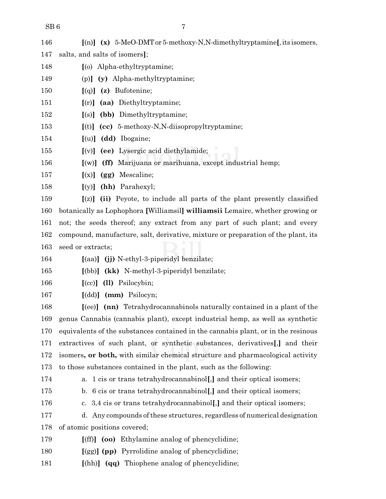| 146 |  |  |  | $\lbrack$ (n)] (x) 5-MeO-DMT or 5-methoxy-N,N-dimethyltryptamine[, its isomers, |  |
|-----|--|--|--|---------------------------------------------------------------------------------|--|
|-----|--|--|--|---------------------------------------------------------------------------------|--|

- salts, and salts of isomers**]**;
- **[**(o) Alpha-ethyltryptamine;
- (p)**] (y)** Alpha-methyltryptamine;
- **[**(q)**] (z)** Bufotenine;
- **[**(r)**] (aa)** Diethyltryptamine;
- **[**(s)**] (bb)** Dimethyltryptamine;
- **[**(t)**] (cc)** 5-methoxy-N,N-diisopropyltryptamine;
- **[**(u)**] (dd)** Ibogaine;
- **[**(v)**] (ee)** Lysergic acid diethylamide;
- **[**(w)**] (ff)** Marijuana or marihuana, except industrial hemp;
- **[**(x)**] (gg)** Mescaline;
- **[**(y)**] (hh)** Parahexyl;

 **[**(z)**] (ii)** Peyote, to include all parts of the plant presently classified botanically as Lophophora **[**Williamsil**] williamsii** Lemaire, whether growing or not; the seeds thereof; any extract from any part of such plant; and every compound, manufacture, salt, derivative, mixture or preparation of the plant, its seed or extracts;

**[**(aa)**] (jj)** N-ethyl-3-piperidyl benzilate;

**[**(bb)**] (kk)** N-methyl-3-piperidyl benzilate;

- **[**(cc)**] (ll)** Psilocybin;
- 

**[**(dd)**] (mm)** Psilocyn;

 **[**(ee)**] (nn)** Tetrahydrocannabinols naturally contained in a plant of the genus Cannabis (cannabis plant), except industrial hemp, as well as synthetic equivalents of the substances contained in the cannabis plant, or in the resinous extractives of such plant, or synthetic substances, derivatives**[**,**]** and their isomers**, or both,** with similar chemical structure and pharmacological activity to those substances contained in the plant, such as the following:

a. 1 cis or trans tetrahydrocannabinol**[**,**]** and their optical isomers;

- b. 6 cis or trans tetrahydrocannabinol**[**,**]** and their optical isomers;
- c. 3,4 cis or trans tetrahydrocannabinol**[**,**]** and their optical isomers;
- d. Any compounds ofthese structures, regardless of numerical designation of atomic positions covered;
- **[**(ff)**] (oo)** Ethylamine analog of phencyclidine;
- **[**(gg)**] (pp)** Pyrrolidine analog of phencyclidine;
- **[**(hh)**] (qq)** Thiophene analog of phencyclidine;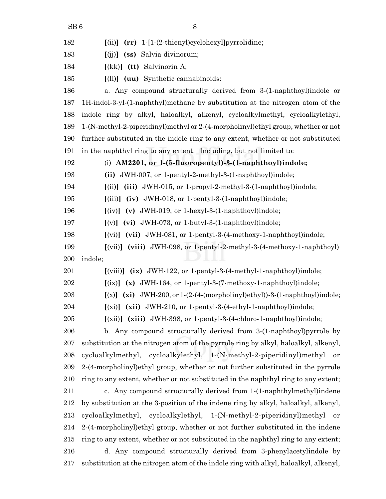| 182 | $(rr)$ 1-[1-(2-thienyl)cyclohexyl]pyrrolidine;<br>(iii)                                                  |
|-----|----------------------------------------------------------------------------------------------------------|
| 183 | (ss) Salvia divinorum;<br>[(jj)]                                                                         |
| 184 | $[(kk)]$ (tt) Salvinorin A;                                                                              |
| 185 | $[1]$ $(uu)$ Synthetic cannabinoids:                                                                     |
| 186 | a. Any compound structurally derived from 3-(1-naphthoyl) indole or                                      |
| 187 | 1H-indol-3-yl-(1-naphthyl)methane by substitution at the nitrogen atom of the                            |
| 188 | indole ring by alkyl, haloalkyl, alkenyl, cycloalkylmethyl, cycloalkylethyl,                             |
| 189 | 1-(N-methyl-2-piperidinyl)methyl or 2-(4-morpholinyl)ethyl group, whether or not                         |
| 190 | further substituted in the indole ring to any extent, whether or not substituted                         |
| 191 | in the naphthyl ring to any extent. Including, but not limited to:                                       |
| 192 | (i) $AM2201$ , or 1-(5-fluoropentyl)-3-(1-naphthoyl)indole;                                              |
| 193 | (ii) JWH-007, or 1-pentyl-2-methyl-3-(1-naphthoyl)indole;                                                |
| 194 | (iii) JWH-015, or 1-propyl-2-methyl-3-(1-naphthoyl)indole;<br>[(ii)]                                     |
| 195 | $(iv)$ JWH-018, or 1-pentyl-3- $(1$ -naphthoyl)indole;<br>$\left[\left(iii\right)\right]$                |
| 196 | $[(iv)]$ (v) JWH-019, or 1-hexyl-3-(1-naphthoyl)indole;                                                  |
| 197 | $[(v)]$ (vi) JWH-073, or 1-butyl-3-(1-naphthoyl)indole;                                                  |
| 198 | $[(vi)]$ (vii) JWH-081, or 1-pentyl-3-(4-methoxy-1-naphthoyl)indole;                                     |
| 199 | (viii) JWH-098, or 1-pentyl-2-methyl-3-(4-methoxy-1-naphthoyl)<br>$\left[\left(\text{vii}\right)\right]$ |
| 200 | indole;                                                                                                  |
| 201 | $[(viii)]$ $(ix)$ JWH-122, or 1-pentyl-3-(4-methyl-1-naphthoyl)indole;                                   |
| 202 | $[(ix)]$ (x) JWH-164, or 1-pentyl-3-(7-methoxy-1-naphthoyl)indole;                                       |
| 203 | $[(x)]$ $(xi)$ JWH-200, or 1- $(2-(4-(morpholinyl)ethyl))$ -3- $(1-naphthoyl)indole;$                    |
| 204 | $(xi)$ $(xii)$ JWH-210, or 1-pentyl-3-(4-ethyl-1-naphthoyl)indole;                                       |
| 205 | $(xii)$ $(xiii)$ JWH-398, or 1-pentyl-3-(4-chloro-1-naphthoyl)indole;                                    |
| 206 | b. Any compound structurally derived from 3-(1-naphthoyl) pyrrole by                                     |
| 207 | substitution at the nitrogen atom of the pyrrole ring by alkyl, haloalkyl, alkenyl,                      |
| 208 | cycloalkylmethyl, cycloalkylethyl, 1-(N-methyl-2-piperidinyl)methyl<br>or                                |
| 209 | 2-(4-morpholiny) ethyl group, whether or not further substituted in the pyrrole                          |
| 210 | ring to any extent, whether or not substituted in the naphthyl ring to any extent;                       |
| 211 | c. Any compound structurally derived from 1-(1-naphthylmethyl) indene                                    |
| 212 | by substitution at the 3-position of the indene ring by alkyl, haloalkyl, alkenyl,                       |
| 213 | cycloalkylmethyl, cycloalkylethyl, 1-(N-methyl-2-piperidinyl)methyl<br>or                                |
| 214 | 2-(4-morpholinyl) ethyl group, whether or not further substituted in the indene                          |
| 215 | ring to any extent, whether or not substituted in the naphthyl ring to any extent;                       |
| 216 | d. Any compound structurally derived from 3-phenylacetylindole by                                        |
| 217 | substitution at the nitrogen atom of the indole ring with alkyl, haloalkyl, alkenyl,                     |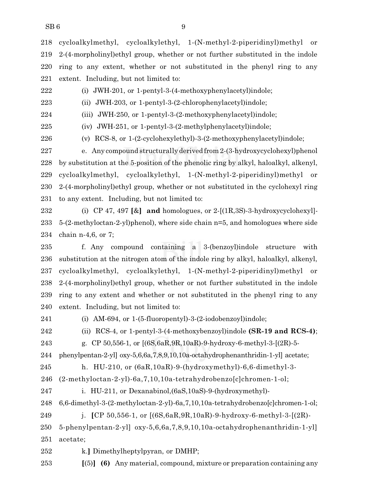cycloalkylmethyl, cycloalkylethyl, 1-(N-methyl-2-piperidinyl)methyl or 2-(4-morpholinyl)ethyl group, whether or not further substituted in the indole ring to any extent, whether or not substituted in the phenyl ring to any extent. Including, but not limited to:

(i) JWH-201, or 1-pentyl-3-(4-methoxyphenylacetyl)indole;

(ii) JWH-203, or 1-pentyl-3-(2-chlorophenylacetyl)indole;

(iii) JWH-250, or 1-pentyl-3-(2-methoxyphenylacetyl)indole;

(iv) JWH-251, or 1-pentyl-3-(2-methylphenylacetyl)indole;

(v) RCS-8, or 1-(2-cyclohexylethyl)-3-(2-methoxyphenylacetyl)indole;

 e. Any compound structurally derived from2-(3-hydroxycyclohexyl)phenol by substitution at the 5-position of the phenolic ring by alkyl, haloalkyl, alkenyl, cycloalkylmethyl, cycloalkylethyl, 1-(N-methyl-2-piperidinyl)methyl or 2-(4-morpholinyl)ethyl group, whether or not substituted in the cyclohexyl ring to any extent. Including, but not limited to:

 (i) CP 47, 497 **[**&**] and** homologues, or 2-[(1R,3S)-3-hydroxycyclohexyl]- 5-(2-methyloctan-2-yl)phenol), where side chain n=5, and homologues where side chain n-4,6, or 7;

 f. Any compound containing a 3-(benzoyl)indole structure with substitution at the nitrogen atom of the indole ring by alkyl, haloalkyl, alkenyl, cycloalkylmethyl, cycloalkylethyl, 1-(N-methyl-2-piperidinyl)methyl or 2-(4-morpholinyl)ethyl group, whether or not further substituted in the indole ring to any extent and whether or not substituted in the phenyl ring to any extent. Including, but not limited to:

(i) AM-694, or 1-(5-fluoropentyl)-3-(2-iodobenzoyl)indole;

(ii) RCS-4, or 1-pentyl-3-(4-methoxybenzoyl)indole **(SR-19 and RCS-4)**;

g. CP 50,556-1, or [(6S,6aR,9R,10aR)-9-hydroxy-6-methyl-3-[(2R)-5-

phenylpentan-2-yl] oxy-5,6,6a,7,8,9,10,10a-octahydrophenanthridin-1-yl] acetate;

h. HU-210, or (6aR,10aR)-9-(hydroxymethyl)-6,6-dimethyl-3-

(2-methyloctan-2-yl)-6a,7,10,10a-tetrahydrobenzo[c]chromen-1-ol;

i. HU-211, or Dexanabinol,(6aS,10aS)-9-(hydroxymethyl)-

6,6-dimethyl-3-(2-methyloctan-2-yl)-6a,7,10,10a-tetrahydrobenzo[c]chromen-1-ol;

j. **[**CP 50,556-1, or [(6S,6aR,9R,10aR)-9-hydroxy-6-methyl-3-[(2R)-

 5-phenylpentan-2-yl] oxy-5,6,6a,7,8,9,10,10a-octahydrophenanthridin-1-yl] acetate;

k.**]** Dimethylheptylpyran, or DMHP;

**[**(5)**] (6)** Any material, compound, mixture or preparation containing any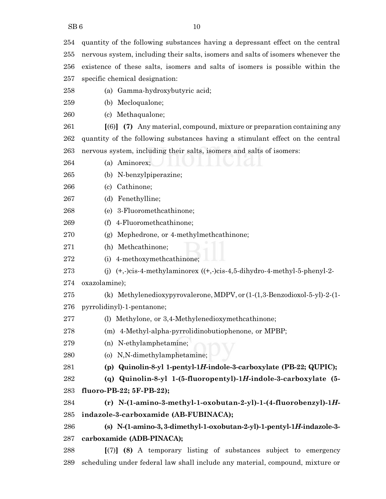quantity of the following substances having a depressant effect on the central nervous system, including their salts, isomers and salts of isomers whenever the existence of these salts, isomers and salts of isomers is possible within the specific chemical designation: (a) Gamma-hydroxybutyric acid; (b) Mecloqualone;

(c) Methaqualone;

 **[**(6)**] (7)** Any material, compound, mixture or preparation containing any quantity of the following substances having a stimulant effect on the central nervous system, including their salts, isomers and salts of isomers:

(a) Aminorex;

(b) N-benzylpiperazine;

(c) Cathinone;

(d) Fenethylline;

(e) 3-Fluoromethcathinone;

(f) 4-Fluoromethcathinone;

(g) Mephedrone, or 4-methylmethcathinone;

(h) Methcathinone;

(i) 4-methoxymethcathinone;

273 (j)  $(+,-)$ cis-4-methylaminorex  $((+,-)$ cis-4,5-dihydro-4-methyl-5-phenyl-2-

oxazolamine);

(k) Methylenedioxypyrovalerone, MDPV, or (1-(1,3-Benzodioxol-5-yl)-2-(1-

pyrrolidinyl)-1-pentanone;

(l) Methylone, or 3,4-Methylenedioxymethcathinone;

(m) 4-Methyl-alpha-pyrrolidinobutiophenone, or MPBP;

(n) N-ethylamphetamine;

(o) N,N-dimethylamphetamine;

**(p) Quinolin-8-yl 1-pentyl-1***H***-indole-3-carboxylate (PB-22; QUPIC);**

 **(q) Quinolin-8-yl 1-(5-fluoropentyl)-1***H***-indole-3-carboxylate (5- fluoro-PB-22; 5F-PB-22);**

 **(r) N-(1-amino-3-methyl-1-oxobutan-2-yl)-1-(4-fluorobenzyl)-1***H***-indazole-3-carboxamide (AB-FUBINACA);**

 **(s) N-(1-amino-3, 3-dimethyl-1-oxobutan-2-yl)-1-pentyl-1***H***-indazole-3- carboxamide (ADB-PINACA);**

 **[**(7)**] (8)** A temporary listing of substances subject to emergency scheduling under federal law shall include any material, compound, mixture or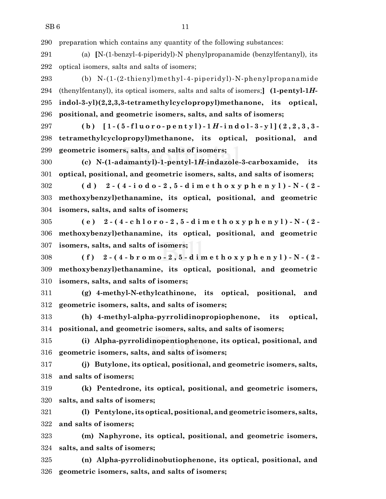preparation which contains any quantity of the following substances:

 (a) **[**N-(1-benzyl-4-piperidyl)-N phenylpropanamide (benzylfentanyl), its optical isomers, salts and salts of isomers;

 (b) N-(1-(2-thienyl)methyl-4-piperidyl)-N-phenylpropanamide (thenylfentanyl), its optical isomers, salts and salts of isomers;**] (1-pentyl-1***H***- indol-3-yl)(2,2,3,3-tetramethylcyclopropyl)methanone, its optical, positional, and geometric isomers, salts, and salts of isomers;**

297 (b)  $[1-(5-fluoro-pentyl)-1H-indol-3-y][(2,2,3,3-1)]$  **tetramethylcyclopropyl)methanone, its optical, positional, and geometric isomers, salts, and salts of isomers;**

 **(c) N-(1-adamantyl)-1-pentyl-1***H***-indazole-3-carboxamide, its optical, positional, and geometric isomers, salts, and salts of isomers;**

 (d)  $2-(4-i\omega d \omega - 2, 5-dim \omega t \omega s \omega p \ln \omega y)$ ) - N - (2 - **methoxybenzyl)ethanamine, its optical, positional, and geometric isomers, salts, and salts of isomers;**

305 (e)  $2-(4-chloro-2,5-dimethoxyphenyl)-N-(2-dimethoxyphenyl)$  **methoxybenzyl)ethanamine, its optical, positional, and geometric isomers, salts, and salts of isomers;**

308 (f)  $2-(4-b r o m o - 2, 5-d i m e t h o x y p h e n y l) - N - (2-d i h)$  **methoxybenzyl)ethanamine, its optical, positional, and geometric isomers, salts, and salts of isomers;**

 **(g) 4-methyl-N-ethylcathinone, its optical, positional, and geometric isomers, salts, and salts of isomers;**

 **(h) 4-methyl-alpha-pyrrolidinopropiophenone, its optical, positional, and geometric isomers, salts, and salts of isomers;**

 **(i) Alpha-pyrrolidinopentiophenone, its optical, positional, and geometric isomers, salts, and salts of isomers;**

 **(j) Butylone, its optical, positional, and geometric isomers, salts, and salts of isomers;**

 **(k) Pentedrone, its optical, positional, and geometric isomers, salts, and salts of isomers;**

 **(l) Pentylone,its optical, positional, and geometric isomers, salts, and salts of isomers;**

 **(m) Naphyrone, its optical, positional, and geometric isomers, salts, and salts of isomers;**

 **(n) Alpha-pyrrolidinobutiophenone, its optical, positional, and geometric isomers, salts, and salts of isomers;**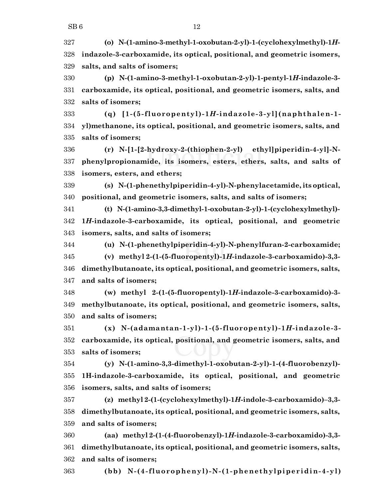**(o) N-(1-amino-3-methyl-1-oxobutan-2-yl)-1-(cyclohexylmethyl)-1***H***- indazole-3-carboxamide, its optical, positional, and geometric isomers, salts, and salts of isomers;**

 **(p) N-(1-amino-3-methyl-1-oxobutan-2-yl)-1-pentyl-1***H***-indazole-3- carboxamide, its optical, positional, and geometric isomers, salts, and salts of isomers;**

 **(q) [1-(5-fluoropentyl)-1***H***-indazole-3-yl](naphthalen-1- yl)methanone, its optical, positional, and geometric isomers, salts, and salts of isomers;**

 **(r) N-[1-[2-hydroxy-2-(thiophen-2-yl) ethyl]piperidin-4-yl]-N- phenylpropionamide, its isomers, esters, ethers, salts, and salts of isomers, esters, and ethers;**

 **(s) N-(1-phenethylpiperidin-4-yl)-N-phenylacetamide,its optical, positional, and geometric isomers, salts, and salts of isomers;**

 **(t) N-(1-amino-3,3-dimethyl-1-oxobutan-2-yl)-1-(cyclohexylmethyl)- 1***H***-indazole-3-carboxamide, its optical, positional, and geometric isomers, salts, and salts of isomers;**

 **(u) N-(1-phenethylpiperidin-4-yl)-N-phenylfuran-2-carboxamide; (v) methyl 2-(1-(5-fluoropentyl)-1***H***-indazole-3-carboxamido)-3,3- dimethylbutanoate, its optical, positional, and geometric isomers, salts, and salts of isomers;**

 **(w) methyl 2-(1-(5-fluoropentyl)-1***H***-indazole-3-carboxamido)-3- methylbutanoate, its optical, positional, and geometric isomers, salts, and salts of isomers;**

 **(x) N-(adamantan-1-yl)-1-(5-fluoropentyl)-1***H***-indazole-3- carboxamide, its optical, positional, and geometric isomers, salts, and salts of isomers;**

 **(y) N-(1-amino-3,3-dimethyl-1-oxobutan-2-yl)-1-(4-fluorobenzyl)- 1H-indazole-3-carboxamide, its optical, positional, and geometric isomers, salts, and salts of isomers;**

 **(z) methyl 2-(1-(cyclohexylmethyl)-1***H***-indole-3-carboxamido)–3,3- dimethylbutanoate, its optical, positional, and geometric isomers, salts, and salts of isomers;**

 **(aa) methyl 2-(1-(4-fluorobenzyl)-1***H***-indazole-3-carboxamido)-3,3- dimethylbutanoate, its optical, positional, and geometric isomers, salts, and salts of isomers;**

**(bb) N-(4-fluorophenyl)-N-(1-phenethylpiperidin-4-yl)**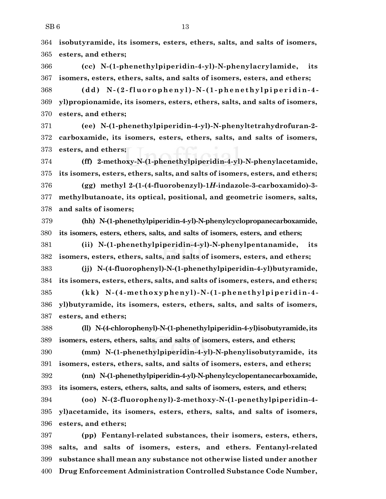**isobutyramide, its isomers, esters, ethers, salts, and salts of isomers, esters, and ethers;**

 **(cc) N-(1-phenethylpiperidin-4-yl)-N-phenylacrylamide, its isomers, esters, ethers, salts, and salts of isomers, esters, and ethers;**

 **(dd) N -( 2 -fluo r opheny l)- N -( 1 -phene thy lpipe r idin- 4 - yl)propionamide, its isomers, esters, ethers, salts, and salts of isomers, esters, and ethers;**

 **(ee) N-(1-phenethylpiperidin-4-yl)-N-phenyltetrahydrofuran-2- carboxamide, its isomers, esters, ethers, salts, and salts of isomers, esters, and ethers;**

 **(ff) 2-methoxy-N-(1-phenethylpiperidin-4-yl)-N-phenylacetamide, its isomers, esters, ethers, salts, and salts of isomers, esters, and ethers; (gg) methyl 2-(1-(4-fluorobenzyl)-1***H***-indazole-3-carboxamido)-3- methylbutanoate, its optical, positional, and geometric isomers, salts,**

**and salts of isomers;**

 **(hh) N-(1-phenethylpiperidin-4-yl)-N-phenylcyclopropanecarboxamide, its isomers, esters, ethers, salts, and salts of isomers, esters, and ethers;**

 **(ii) N-(1-phenethylpiperidin-4-yl)-N-phenylpentanamide, its isomers, esters, ethers, salts, and salts of isomers, esters, and ethers;**

 **(jj) N-(4-fluorophenyl)-N-(1-phenethylpiperidin-4-yl)butyramide, its isomers, esters, ethers, salts, and salts of isomers, esters, and ethers;**

 **(kk) N-(4-methoxyphenyl)-N-(1-phenethylpiper idin-4- yl)butyramide, its isomers, esters, ethers, salts, and salts of isomers, esters, and ethers;**

 **(ll) N-(4-chlorophenyl)-N-(1-phenethylpiperidin-4-yl)isobutyramide,its isomers, esters, ethers, salts, and salts of isomers, esters, and ethers;**

 **(mm) N-(1-phenethylpiperidin-4-yl)-N-phenylisobutyramide, its isomers, esters, ethers, salts, and salts of isomers, esters, and ethers;**

 **(nn) N-(1-phenethylpiperidin-4-yl)-N-phenylcyclopentanecarboxamide, its isomers, esters, ethers, salts, and salts of isomers, esters, and ethers;**

 **(oo) N-(2-fluorophenyl)-2-methoxy-N-(1-penethylpiperidin-4- yl)acetamide, its isomers, esters, ethers, salts, and salts of isomers, esters, and ethers;**

 **(pp) Fentanyl-related substances, their isomers, esters, ethers, salts, and salts of isomers, esters, and ethers. Fentanyl-related substance shall mean any substance not otherwise listed under another Drug Enforcement Administration Controlled Substance Code Number,**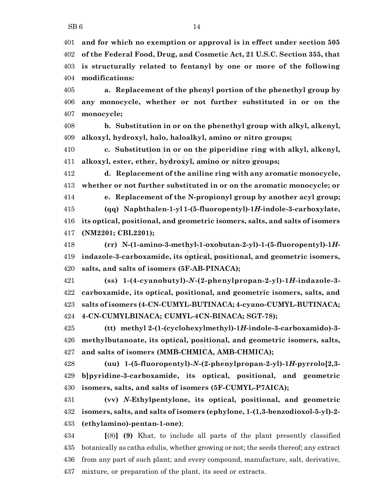**and for which no exemption or approval is in effect under section 505 of the Federal Food, Drug, and Cosmetic Act, 21 U.S.C. Section 355, that is structurally related to fentanyl by one or more of the following modifications:**

 **a. Replacement of the phenyl portion of the phenethyl group by any monocycle, whether or not further substituted in or on the monocycle;**

 **b. Substitution in or on the phenethyl group with alkyl, alkenyl, alkoxyl, hydroxyl, halo, haloalkyl, amino or nitro groups;**

 **c. Substitution in or on the piperidine ring with alkyl, alkenyl, alkoxyl, ester, ether, hydroxyl, amino or nitro groups;**

 **d. Replacement of the aniline ring with any aromatic monocycle, whether or not further substituted in or on the aromatic monocycle; or**

 **e. Replacement of the N-propionyl group by another acyl group; (qq) Naphthalen-1-yl 1-(5-fluoropentyl)-1***H***-indole-3-carboxylate, its optical, positional, and geometric isomers, salts, and salts of isomers**

**(NM2201; CBL2201);**

 **(rr) N-(1-amino-3-methyl-1-oxobutan-2-yl)-1-(5-fluoropentyl)-1***H***- indazole-3-carboxamide, its optical, positional, and geometric isomers, salts, and salts of isomers (5F-AB-PINACA);**

 **(ss) 1-(4-cyanobutyl)-***N***-(2-phenylpropan-2-yl)-1***H***-indazole-3- carboxamide, its optical, positional, and geometric isomers, salts, and salts of isomers (4-CN-CUMYL-BUTINACA; 4-cyano-CUMYL-BUTINACA; 4-CN-CUMYLBINACA; CUMYL-4CN-BINACA; SGT-78);**

 **(tt) methyl 2-(1-(cyclohexylmethyl)-1***H***-indole-3-carboxamido)-3- methylbutanoate, its optical, positional, and geometric isomers, salts, and salts of isomers (MMB-CHMICA, AMB-CHMICA);**

 **(uu) 1-(5-fluoropentyl)-***N***-(2-phenylpropan-2-yl)-1***H***-pyrrolo[2,3- b]pyridine-3-carboxamide, its optical, positional, and geometric isomers, salts, and salts of isomers (5F-CUMYL-P7AICA);**

 **(vv)** *N***-Ethylpentylone, its optical, positional, and geometric isomers, salts, and salts of isomers (ephylone, 1-(1,3-benzodioxol-5-yl)-2- (ethylamino)-pentan-1-one)**;

 **[**(8)**] (9)** Khat, to include all parts of the plant presently classified botanically as catha edulis, whether growing or not; the seeds thereof; any extract from any part of such plant; and every compound, manufacture, salt, derivative, mixture, or preparation of the plant, its seed or extracts.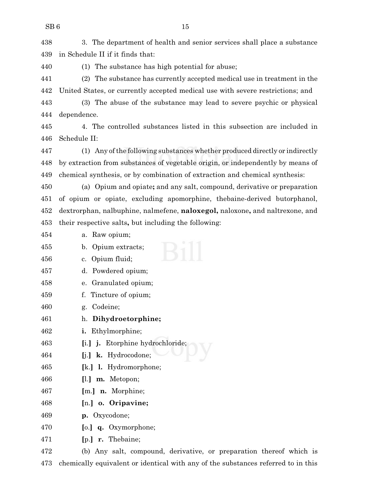3. The department of health and senior services shall place a substance in Schedule II if it finds that:

(1) The substance has high potential for abuse;

 (2) The substance has currently accepted medical use in treatment in the United States, or currently accepted medical use with severe restrictions; and

 (3) The abuse of the substance may lead to severe psychic or physical dependence.

 4. The controlled substances listed in this subsection are included in Schedule II:

 (1) Any ofthe following substances whether produced directly or indirectly by extraction from substances of vegetable origin, or independently by means of chemical synthesis, or by combination of extraction and chemical synthesis:

 (a) Opium and opiate**;** and any salt, compound, derivative or preparation of opium or opiate, excluding apomorphine, thebaine-derived butorphanol, dextrorphan, nalbuphine, nalmefene, **naloxegol,** naloxone**,** and naltrexone, and their respective salts**,** but including the following:

- a. Raw opium;
- b. Opium extracts; c. Opium fluid; d. Powdered opium; e. Granulated opium; f. Tincture of opium; g. Codeine; h. **Dihydroetorphine; i.** Ethylmorphine; **[**i.**] j.** Etorphine hydrochloride;
- **[**j.**] k.** Hydrocodone;
- **[**k.**] l.** Hydromorphone;
- **[**l.**] m.** Metopon;
- **[**m.**] n.** Morphine;
- **[**n.**] o. Oripavine;**
- **p.** Oxycodone;
- **[**o.**] q.** Oxymorphone;
- **[**p.**] r.** Thebaine;

 (b) Any salt, compound, derivative, or preparation thereof which is chemically equivalent or identical with any of the substances referred to in this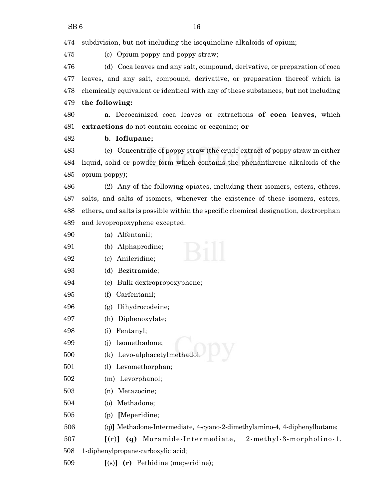subdivision, but not including the isoquinoline alkaloids of opium;

(c) Opium poppy and poppy straw;

 (d) Coca leaves and any salt, compound, derivative, or preparation of coca leaves, and any salt, compound, derivative, or preparation thereof which is chemically equivalent or identical with any of these substances, but not including **the following:**

 **a.** Decocainized coca leaves or extractions **of coca leaves,** which **extractions** do not contain cocaine or ecgonine; **or**

## **b. Ioflupane;**

 (e) Concentrate of poppy straw (the crude extract of poppy straw in either liquid, solid or powder form which contains the phenanthrene alkaloids of the opium poppy);

 (2) Any of the following opiates, including their isomers, esters, ethers, salts, and salts of isomers, whenever the existence of these isomers, esters, ethers**,** and salts is possible within the specific chemical designation, dextrorphan and levopropoxyphene excepted:

- (a) Alfentanil;
- (b) Alphaprodine;
- (c) Anileridine;
- (d) Bezitramide;
- (e) Bulk dextropropoxyphene;
- (f) Carfentanil;
- (g) Dihydrocodeine;
- (h) Diphenoxylate;

(i) Fentanyl;

- (j) Isomethadone;
- (k) Levo-alphacetylmethadol;
- (l) Levomethorphan;
- (m) Levorphanol;
- (n) Metazocine;
- (o) Methadone;
- (p) **[**Meperidine;
- (q)**]** Methadone-Intermediate, 4-cyano-2-dimethylamino-4, 4-diphenylbutane;
- **[**(r)**] (q)** Moramide-Intermediate, 2-methyl-3-morpholino-1,
- 1-diphenylpropane-carboxylic acid;
- **[**(s)**] (r)** Pethidine (meperidine);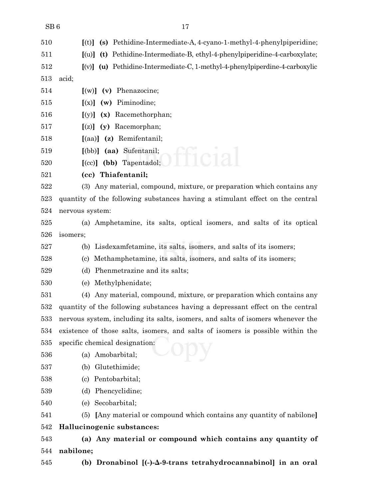| 510 | $[(t)]$ (s) Pethidine-Intermediate-A, 4-cyano-1-methyl-4-phenylpiperidine;      |
|-----|---------------------------------------------------------------------------------|
| 511 | [(u)] (t) Pethidine-Intermediate-B, ethyl-4-phenylpiperidine-4-carboxylate;     |
| 512 | $[$ (v)] (u) Pethidine-Intermediate-C, 1-methyl-4-phenylpiperdine-4-carboxylic  |
| 513 | acid;                                                                           |
| 514 | $[(w)]$ (v) Phenazocine;                                                        |
| 515 | $[(x)]$ (w) Piminodine;                                                         |
| 516 | (x) Racemethorphan;<br>[(y)]                                                    |
| 517 | (y) Racemorphan;<br>[(z)]                                                       |
| 518 | $\left[$ (aa) $\right]$ (z) Remifentanil;                                       |
| 519 | [(bb)] (aa) Sufentanil;                                                         |
| 520 | $[ (cc) ]$ (bb) Tapentadol;                                                     |
| 521 | (cc) Thiafentanil;                                                              |
| 522 | (3) Any material, compound, mixture, or preparation which contains any          |
| 523 | quantity of the following substances having a stimulant effect on the central   |
| 524 | nervous system:                                                                 |
| 525 | (a) Amphetamine, its salts, optical isomers, and salts of its optical           |
| 526 | isomers;                                                                        |
| 527 | Lisdexamfetamine, its salts, isomers, and salts of its isomers;<br>(b)          |
| 528 | Methamphetamine, its salts, isomers, and salts of its isomers;<br>(c)           |
| 529 | Phenmetrazine and its salts;<br>(d)                                             |
| 530 | Methylphenidate;<br>(e)                                                         |
| 531 | Any material, compound, mixture, or preparation which contains any<br>(4)       |
| 532 | quantity of the following substances having a depressant effect on the central  |
| 533 | nervous system, including its salts, isomers, and salts of isomers whenever the |
| 534 | existence of those salts, isomers, and salts of isomers is possible within the  |
| 535 | specific chemical designation:                                                  |
| 536 | (a) Amobarbital;                                                                |
| 537 | (b) Glutethimide;                                                               |
| 538 | (c) Pentobarbital;                                                              |
| 539 | (d) Phencyclidine;                                                              |
| 540 | Secobarbital;<br>(e)                                                            |
| 541 | (5) [Any material or compound which contains any quantity of nabilone]          |
| 542 | Hallucinogenic substances:                                                      |
| 543 | (a) Any material or compound which contains any quantity of                     |
| 544 | nabilone;                                                                       |
| 545 | (b) Dronabinol $[(-)-\Delta-9-$ trans tetrahydrocannabinol] in an oral          |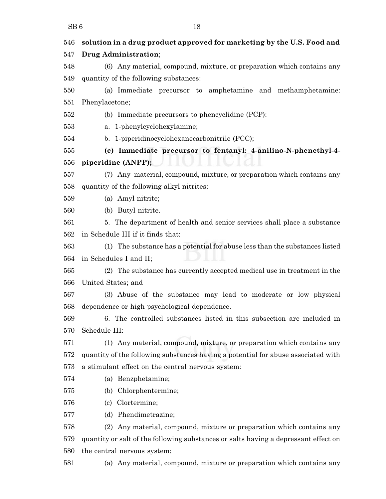| 546 | solution in a drug product approved for marketing by the U.S. Food and              |
|-----|-------------------------------------------------------------------------------------|
| 547 | Drug Administration;                                                                |
| 548 | (6) Any material, compound, mixture, or preparation which contains any              |
| 549 | quantity of the following substances:                                               |
| 550 | (a) Immediate precursor to amphetamine and methamphetamine:                         |
| 551 | Phenylacetone;                                                                      |
| 552 | (b) Immediate precursors to phencyclidine (PCP):                                    |
| 553 | a. 1-phenylcyclohexylamine;                                                         |
| 554 | b. 1-piperidinocyclohexanecarbonitrile (PCC);                                       |
| 555 | (c) Immediate precursor to fentanyl: 4-anilino-N-phenethyl-4-                       |
| 556 | piperidine (ANPP);                                                                  |
| 557 | (7) Any material, compound, mixture, or preparation which contains any              |
| 558 | quantity of the following alkyl nitrites:                                           |
| 559 | (a) Amyl nitrite;                                                                   |
| 560 | (b) Butyl nitrite.                                                                  |
| 561 | 5. The department of health and senior services shall place a substance             |
| 562 | in Schedule III if it finds that:                                                   |
| 563 | (1) The substance has a potential for abuse less than the substances listed         |
| 564 | in Schedules I and II;                                                              |
| 565 | (2) The substance has currently accepted medical use in treatment in the            |
| 566 | United States; and                                                                  |
| 567 | (3) Abuse of the substance may lead to moderate or low physical                     |
| 568 | dependence or high psychological dependence.                                        |
| 569 | 6. The controlled substances listed in this subsection are included in              |
| 570 | Schedule III:                                                                       |
| 571 | (1) Any material, compound, mixture, or preparation which contains any              |
| 572 | quantity of the following substances having a potential for abuse associated with   |
| 573 | a stimulant effect on the central nervous system:                                   |
| 574 | (a) Benzphetamine;                                                                  |
| 575 | Chlorphentermine;<br>(b)                                                            |
| 576 | Clortermine;<br>(c)                                                                 |
| 577 | Phendimetrazine;<br>(d)                                                             |
| 578 | Any material, compound, mixture or preparation which contains any<br>(2)            |
| 579 | quantity or salt of the following substances or salts having a depressant effect on |
| 580 | the central nervous system:                                                         |
| 581 | (a) Any material, compound, mixture or preparation which contains any               |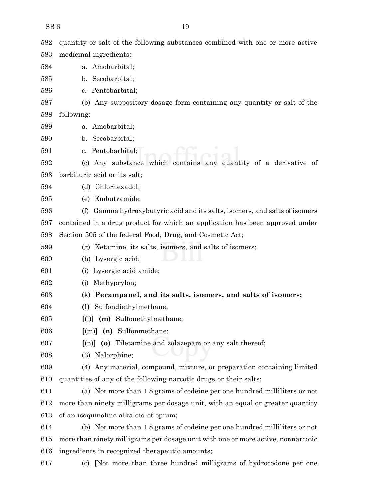| 582 | quantity or salt of the following substances combined with one or more active    |
|-----|----------------------------------------------------------------------------------|
| 583 | medicinal ingredients:                                                           |
| 584 | a. Amobarbital;                                                                  |
| 585 | b. Secobarbital;                                                                 |
| 586 | c. Pentobarbital;                                                                |
| 587 | (b) Any suppository dosage form containing any quantity or salt of the           |
| 588 | following:                                                                       |
| 589 | a. Amobarbital;                                                                  |
| 590 | b. Secobarbital;                                                                 |
| 591 | c. Pentobarbital;                                                                |
| 592 | (c) Any substance which contains any quantity of a derivative of                 |
| 593 | barbituric acid or its salt;                                                     |
| 594 | Chlorhexadol;<br>(d)                                                             |
| 595 | Embutramide;<br>(e)                                                              |
| 596 | Gamma hydroxybutyric acid and its salts, isomers, and salts of isomers<br>(f)    |
| 597 | contained in a drug product for which an application has been approved under     |
| 598 | Section 505 of the federal Food, Drug, and Cosmetic Act;                         |
| 599 | (g) Ketamine, its salts, isomers, and salts of isomers;                          |
| 600 | Lysergic acid;<br>(h)                                                            |
| 601 | Lysergic acid amide;<br>$\left( 1 \right)$                                       |
| 602 | Methyprylon;<br>(1)                                                              |
| 603 | Perampanel, and its salts, isomers, and salts of isomers;<br>(k)                 |
| 604 | Sulfondiethylmethane;<br>$\left( \mathbf{l} \right)$                             |
| 605 | $[1]$ (m) Sulfonethylmethane;                                                    |
| 606 | $[(m)]$ (n) Sulfonmethane;                                                       |
| 607 | $[(n)]$ (o) Tiletamine and zolazepam or any salt thereof;                        |
| 608 | (3) Nalorphine;                                                                  |
| 609 | Any material, compound, mixture, or preparation containing limited<br>(4)        |
| 610 | quantities of any of the following narcotic drugs or their salts:                |
| 611 | (a) Not more than 1.8 grams of codeine per one hundred milliliters or not        |
| 612 | more than ninety milligrams per dosage unit, with an equal or greater quantity   |
| 613 | of an isoquinoline alkaloid of opium;                                            |
| 614 | (b) Not more than 1.8 grams of codeine per one hundred milliliters or not        |
| 615 | more than ninety milligrams per dosage unit with one or more active, nonnarcotic |
| 616 | ingredients in recognized therapeutic amounts;                                   |

- 
- (c) **[**Not more than three hundred milligrams of hydrocodone per one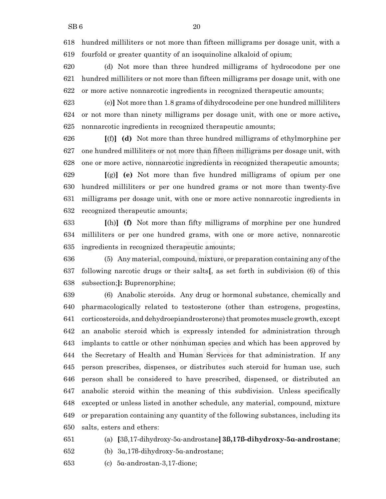hundred milliliters or not more than fifteen milligrams per dosage unit, with a fourfold or greater quantity of an isoquinoline alkaloid of opium;

 (d) Not more than three hundred milligrams of hydrocodone per one hundred milliliters or not more than fifteen milligrams per dosage unit, with one or more active nonnarcotic ingredients in recognized therapeutic amounts;

 (e)**]** Not more than 1.8 grams of dihydrocodeine per one hundred milliliters or not more than ninety milligrams per dosage unit, with one or more active**,** nonnarcotic ingredients in recognized therapeutic amounts;

 **[**(f)**] (d)** Not more than three hundred milligrams of ethylmorphine per one hundred milliliters or not more than fifteen milligrams per dosage unit, with one or more active, nonnarcotic ingredients in recognized therapeutic amounts;

 **[**(g)**] (e)** Not more than five hundred milligrams of opium per one hundred milliliters or per one hundred grams or not more than twenty-five milligrams per dosage unit, with one or more active nonnarcotic ingredients in recognized therapeutic amounts;

 **[**(h)**] (f)** Not more than fifty milligrams of morphine per one hundred milliliters or per one hundred grams, with one or more active, nonnarcotic ingredients in recognized therapeutic amounts;

 (5) Any material, compound, mixture, or preparation containing any ofthe following narcotic drugs or their salts**[**, as set forth in subdivision (6) of this subsection;**]:** Buprenorphine;

 (6) Anabolic steroids. Any drug or hormonal substance, chemically and pharmacologically related to testosterone (other than estrogens, progestins, 641 corticosteroids, and dehydroepiandrosterone) that promotes muscle growth, except an anabolic steroid which is expressly intended for administration through implants to cattle or other nonhuman species and which has been approved by the Secretary of Health and Human Services for that administration. If any person prescribes, dispenses, or distributes such steroid for human use, such person shall be considered to have prescribed, dispensed, or distributed an anabolic steroid within the meaning of this subdivision. Unless specifically excepted or unless listed in another schedule, any material, compound, mixture or preparation containing any quantity of the following substances, including its salts, esters and ethers:

(a) **[**3ß,17-dihydroxy-5á-androstane**] 3ß,17ß-dihydroxy-5á-androstane**;

652 (b)  $3\alpha, 17\beta$ -dihydroxy-5 $\alpha$ -androstane;

(c) 5á-androstan-3,17-dione;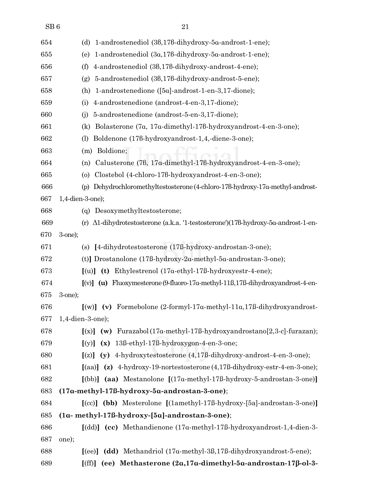| $\overline{21}$ |
|-----------------|
|                 |

| 654 | 1-androstenediol (3β,17β-dihydroxy-5α-androst-1-ene);<br>(d)                                           |
|-----|--------------------------------------------------------------------------------------------------------|
| 655 | 1-androstenediol (3a,178-dihydroxy-5a-androst-1-ene);<br>(e)                                           |
| 656 | 4-androstenediol (36,176-dihydroxy-androst-4-ene);<br>(f)                                              |
| 657 | 5-androstenediol (38,178-dihydroxy-androst-5-ene);<br>(g)                                              |
| 658 | 1-androstenedione $([5\alpha]$ -androst-1-en-3,17-dione);<br>(h)                                       |
| 659 | 4-androstenedione (androst-4-en-3,17-dione);<br>(i)                                                    |
| 660 | 5-androstenedione (androst-5-en-3,17-dione);<br>(i)                                                    |
| 661 | Bolasterone (7a, 17a-dimethyl-178-hydroxyandrost-4-en-3-one);<br>(k)                                   |
| 662 | Boldenone (176-hydroxyandrost-1,4,-diene-3-one);<br>(1)                                                |
| 663 | Boldione;<br>(m)                                                                                       |
| 664 | Calusterone (78, 17a-dimethyl-178-hydroxyandrost-4-en-3-one);<br>(n)                                   |
| 665 | Clostebol (4-chloro-178-hydroxyandrost-4-en-3-one);<br>$\circ$                                         |
| 666 | (p) Dehydrochloromethyltestosterone (4-chloro-178-hydroxy-17a-methyl-androst-                          |
| 667 | $1,4$ -dien-3-one);                                                                                    |
| 668 | Desoxymethyltestosterone;<br>(g)                                                                       |
| 669 | $\Delta 1$ -dihydrotestosterone (a.k.a. '1-testosterone')(178-hydroxy-5 $\alpha$ -androst-1-en-<br>(r) |
| 670 | $3$ -one);                                                                                             |
| 671 | [4-dihydrotestosterone (17ß-hydroxy-androstan-3-one);<br>(s)                                           |
| 672 | (t)] Drostanolone (17ß-hydroxy-2a-methyl-5a-androstan-3-one);                                          |
| 673 | Ethylestrenol $(17\alpha$ -ethyl-17ß-hydroxyestr-4-ene);<br>$\lceil$ (u)<br>(t)                        |
| 674 | $\lceil (v) \rceil$ (u) Fluoxymesterone (9-fluoro-17a-methyl-11ß,17ß-dihydroxyandrost-4-en-            |
| 675 | 3-one);                                                                                                |
| 676 | $[(w)]$ (v) Formebolone (2-formyl-17 $\alpha$ -methyl-11 $\alpha$ ,17 $\beta$ -dihydroxyandrost-       |
| 677 | 1,4-dien-3-one);                                                                                       |
| 678 | $[(x)]$ (w) Furazabol (17a-methyl-17ß-hydroxyandrostano $[2,3-c]$ -furazan);                           |
| 679 | 13ß-ethyl-17ß-hydroxygon-4-en-3-one;<br>(x)<br>[(y)]                                                   |
| 680 | $[(z)]$ (y) 4-hydroxytestosterone $(4,17\beta$ -dihydroxy-androst-4-en-3-one);                         |
| 681 | $\lbrack$ (aa)] (z) 4-hydroxy-19-nortestosterone (4,17ß-dihydroxy-estr-4-en-3-one);                    |
| 682 | [(bb)] (aa) Mestanolone [(17a-methyl-17ß-hydroxy-5-androstan-3-one)]                                   |
| 683 | $(17a-methyl-17B-hydroxy-5a-androstan-3-one);$                                                         |
| 684 | [(cc)] (bb) Mesterolone [(1amethyl-17ß-hydroxy-[5a]-androstan-3-one)]                                  |
| 685 | $(1\alpha$ - methyl-17ß-hydroxy-[5 $\alpha$ ]-androstan-3-one);                                        |
| 686 | [(dd)] (cc) Methandienone (17a-methyl-17ß-hydroxyandrost-1,4-dien-3-                                   |
| 687 | one);                                                                                                  |
| 688 | [(ee)] $(dd)$ Methandriol (17 $\alpha$ -methyl-3 $\beta$ ,17 $\beta$ -dihydroxyandrost-5-ene);         |
| 689 | (ee) Methasterone $(2\alpha, 17\alpha$ -dimethyl-5 $\alpha$ -androstan-17 $\beta$ -ol-3-<br>[(ff)]     |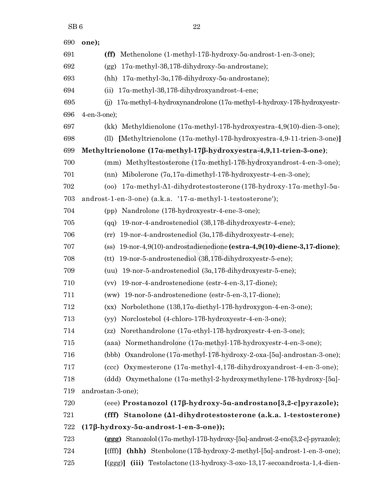| 690 | one);                                                                                    |
|-----|------------------------------------------------------------------------------------------|
| 691 | Methenolone (1-methyl-17ß-hydroxy-5a-androst-1-en-3-one);<br>(ff)                        |
| 692 | 17α-methyl-3β,17β-dihydroxy-5α-androstane);<br>(gg)                                      |
| 693 | $17\alpha$ -methyl-3 $\alpha$ , 17 $\beta$ -dihydroxy-5 $\alpha$ -androstane);<br>(hh)   |
| 694 | 17α-methyl-3β,17β-dihydroxyandrost-4-ene;<br>(ii)                                        |
| 695 | 17a-methyl-4-hydroxynandrolone (17a-methyl-4-hydroxy-178-hydroxyestr-<br>(i)             |
| 696 | 4-en-3-one);                                                                             |
| 697 | (kk) Methyldienolone (17a-methyl-178-hydroxyestra-4,9(10)-dien-3-one);                   |
| 698 | [Methyltrienolone (17a-methyl-17ß-hydroxyestra-4,9-11-trien-3-one)]<br>(11)              |
| 699 | Methyltrienolone (17a-methyl-17ß-hydroxyestra-4,9,11-trien-3-one);                       |
| 700 | (mm) Methyltestosterone (17a-methyl-178-hydroxyandrost-4-en-3-one);                      |
| 701 | (nn) Mibolerone (7a,17a-dimethyl-176-hydroxyestr-4-en-3-one);                            |
| 702 | (oo) $17a$ -methyl- $\Delta$ 1-dihydrotestosterone (178-hydroxy-17a-methyl- $5a$ -       |
| 703 | androst-1-en-3-one) (a.k.a. '17-a-methyl-1-testosterone');                               |
| 704 | (pp) Nandrolone (176-hydroxyestr-4-ene-3-one);                                           |
| 705 | 19-nor-4-androstenediol (38,176-dihydroxyestr-4-ene);<br>(qq)                            |
| 706 | 19-nor-4-androstenediol (3a, 176-dihydroxyestr-4-ene);<br>(rr)                           |
| 707 | 19-nor-4,9(10)-androstadienedione (estra-4,9(10)-diene-3,17-dione);<br>(s <sub>s</sub> ) |
| 708 | 19-nor-5-androstenediol (38,176-dihydroxyestr-5-ene);<br>(tt)                            |
| 709 | (uu) $19$ -nor-5-androstenediol $(3\alpha, 17\beta$ -dihydroxyestr-5-ene);               |
| 710 | 19-nor-4-androstenedione (estr-4-en-3,17-dione);<br>(vv)                                 |
| 711 | (ww) 19-nor-5-androstenedione (estr-5-en-3,17-dione);                                    |
| 712 | $(xx)$ Norbolethone $(138, 17\alpha$ -diethyl-178-hydroxygon-4-en-3-one);                |
| 713 | (yy) Norclostebol (4-chloro-176-hydroxyestr-4-en-3-one);                                 |
| 714 | Norethandrolone (17a-ethyl-178-hydroxyestr-4-en-3-one);<br>(zz)                          |
| 715 | (aaa) Normethandrolone (17a-methyl-178-hydroxyestr-4-en-3-one);                          |
| 716 | (bbb) Oxandrolone (17a-methyl-178-hydroxy-2-oxa-[5a]-androstan-3-one);                   |
| 717 | (ccc) Oxymesterone (17a-methyl-4,178-dihydroxyandrost-4-en-3-one);                       |
| 718 | $(\text{ddd})$ Oxymethalone $(17a\text{-methyl-2-hydroxymethylene-178-hydroxy-[5a]-10a)$ |
| 719 | androstan-3-one);                                                                        |
| 720 | (eee) Prostanozol (17β-hydroxy-5α-androstano[3,2-c]pyrazole);                            |
| 721 | (fff) Stanolone $(\Delta 1$ -dihydrotestosterone $(a.k.a. 1-test$ osterone)              |
| 722 | $(17\beta-hydroxy-5\alpha-androst-1-en-3-one));$                                         |
| 723 | (ggg) Stanozolol (17a-methyl-17ß-hydroxy-[5a]-androst-2-eno[3,2-c]-pyrazole);            |
| 724 | (hhh) Stenbolone (17ß-hydroxy-2-methyl-[5a]-androst-1-en-3-one);<br>$[(\text{ff})]$      |
| 725 | (iii) Testolactone (13-hydroxy-3-oxo-13, 17-secoandrosta-1, 4-dien-<br>[(ggg)]           |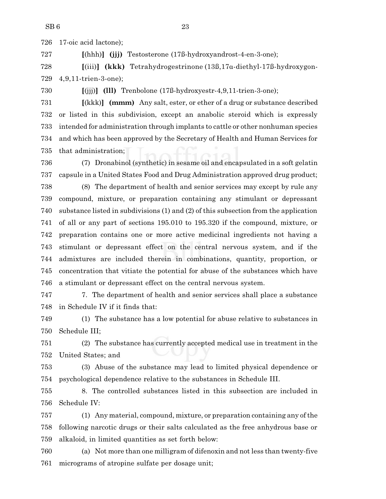17-oic acid lactone);

**[**(hhh)**] (jjj)** Testosterone (17ß-hydroxyandrost-4-en-3-one);

 **[**(iii)**] (kkk)** Tetrahydrogestrinone (13ß,17á-diethyl-17ß-hydroxygon-4,9,11-trien-3-one);

**[**(jjj)**] (lll)** Trenbolone (17ß-hydroxyestr-4,9,11-trien-3-one);

 **[**(kkk)**] (mmm)** Any salt, ester, or ether of a drug or substance described or listed in this subdivision, except an anabolic steroid which is expressly intended for administration through implants to cattle or other nonhuman species and which has been approved by the Secretary of Health and Human Services for that administration;

 (7) Dronabinol (synthetic) in sesame oil and encapsulated in a soft gelatin capsule in a United States Food and Drug Administration approved drug product;

 (8) The department of health and senior services may except by rule any compound, mixture, or preparation containing any stimulant or depressant substance listed in subdivisions (1) and (2) of this subsection from the application of all or any part of sections 195.010 to 195.320 if the compound, mixture, or preparation contains one or more active medicinal ingredients not having a stimulant or depressant effect on the central nervous system, and if the admixtures are included therein in combinations, quantity, proportion, or concentration that vitiate the potential for abuse of the substances which have a stimulant or depressant effect on the central nervous system.

 7. The department of health and senior services shall place a substance in Schedule IV if it finds that:

 (1) The substance has a low potential for abuse relative to substances in Schedule III;

 (2) The substance has currently accepted medical use in treatment in the United States; and

 (3) Abuse of the substance may lead to limited physical dependence or psychological dependence relative to the substances in Schedule III.

 8. The controlled substances listed in this subsection are included in Schedule IV:

 (1) Any material, compound, mixture, or preparation containing any ofthe following narcotic drugs or their salts calculated as the free anhydrous base or alkaloid, in limited quantities as set forth below:

 (a) Not more than one milligram of difenoxin and not less than twenty-five micrograms of atropine sulfate per dosage unit;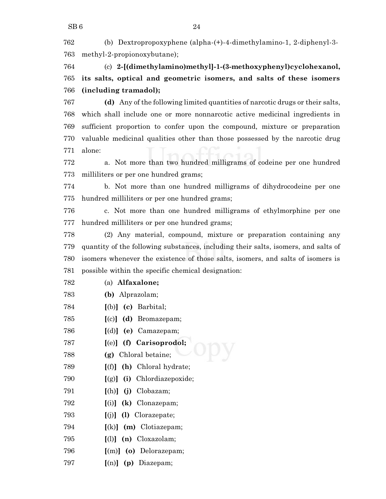(b) Dextropropoxyphene (alpha-(+)-4-dimethylamino-1, 2-diphenyl-3- methyl-2-propionoxybutane);

 (c) **2-[(dimethylamino)methyl]-1-(3-methoxyphenyl)cyclohexanol, its salts, optical and geometric isomers, and salts of these isomers (including tramadol);**

 **(d)** Any of the following limited quantities of narcotic drugs or their salts, which shall include one or more nonnarcotic active medicinal ingredients in sufficient proportion to confer upon the compound, mixture or preparation valuable medicinal qualities other than those possessed by the narcotic drug alone:

 a. Not more than two hundred milligrams of codeine per one hundred milliliters or per one hundred grams;

 b. Not more than one hundred milligrams of dihydrocodeine per one hundred milliliters or per one hundred grams;

 c. Not more than one hundred milligrams of ethylmorphine per one hundred milliliters or per one hundred grams;

 (2) Any material, compound, mixture or preparation containing any quantity of the following substances, including their salts, isomers, and salts of isomers whenever the existence of those salts, isomers, and salts of isomers is possible within the specific chemical designation:

- (a) **Alfaxalone;**
- **(b)** Alprazolam;
- **[**(b)**] (c)** Barbital;
- **[**(c)**] (d)** Bromazepam;
- **[**(d)**] (e)** Camazepam;
- **[**(e)**] (f) Carisoprodol;**
- **(g)** Chloral betaine;
- **[**(f)**] (h)** Chloral hydrate;
- **[**(g)**] (i)** Chlordiazepoxide;
- **[**(h)**] (j)** Clobazam;
- **[**(i)**] (k)** Clonazepam;
- **[**(j)**] (l)** Clorazepate;
- **[**(k)**] (m)** Clotiazepam;
- **[**(l)**] (n)** Cloxazolam;
- **[**(m)**] (o)** Delorazepam;
- **[**(n)**] (p)** Diazepam;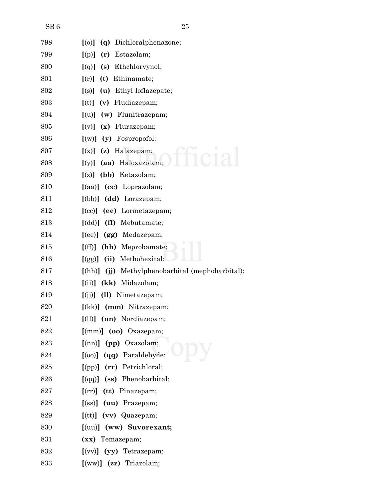| 798 | (q) Dichloralphenazone;<br>[(o)]                 |
|-----|--------------------------------------------------|
| 799 | (r) Estazolam;<br>[(p)]                          |
| 800 | $[(q)]$ (s) Ethchlorvynol;                       |
| 801 | (t) Ethinamate;<br>[(r)]                         |
| 802 | (u) Ethyl loflazepate;<br>[(s)]                  |
| 803 | (v) Fludiazepam;<br>[(t)]                        |
| 804 | (w) Flunitrazepam;<br>[(u)]                      |
| 805 | $[(v)]$ (x) Flurazepam;                          |
| 806 | (y) Fospropofol;<br>[(w)]                        |
| 807 | (z) Halazepam;<br>[(x)]                          |
| 808 | (aa) Haloxazolam;<br>[(y)]                       |
| 809 | (bb) Ketazolam;<br>[(z)]                         |
| 810 | $\left[$ (aa) $\right]$ (cc) Loprazolam;         |
| 811 | [(bb)] (dd) Lorazepam;                           |
| 812 | $[ (cc) ]$ (ee) Lormetazepam;                    |
| 813 | [(dd)] (ff) Mebutamate;                          |
| 814 | (gg) Medazepam;<br>$[$ (ee)]                     |
| 815 | (hh) Meprobamate;<br>[(ff)]                      |
| 816 | (ii) Methohexital;<br>[(gg)]                     |
| 817 | [(hh)] (jj) Methylphenobarbital (mephobarbital); |
| 818 | (kk) Midazolam;<br>[(ii)]                        |
| 819 | (ll) Nimetazepam;<br>[(jj)]                      |
| 820 | $(kk)$ (mm) Nitrazepam;                          |
| 821 | $[1]$ $(nn)$ Nordiazepam;                        |
| 822 | $[$ (mm) $]$ (oo) Oxazepam;                      |
| 823 | $[$ (nn) $]$ (pp) Oxazolam;                      |
| 824 | $[ (oo) ] (qq)$ Paraldehyde;                     |
| 825 | [(pp)] (rr) Petrichloral;                        |
| 826 | $\left[\text{(qq)}\right]$ (ss) Phenobarbital;   |
| 827 | $[$ (rr)] $(tt)$ Pinazepam;                      |
| 828 | $[$ (ss) $]$ (uu) Prazepam;                      |
| 829 | $[$ (tt)] (vv) Quazepam;                         |
| 830 | $[$ (uu)] $($ ww) Suvorexant;                    |
| 831 | (xx) Temazepam;                                  |
| 832 | $(vv)$ (yy) Tetrazepam;                          |
| 833 | [(ww)] (zz) Triazolam;                           |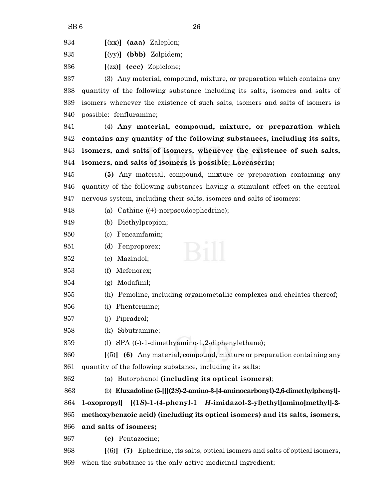| 834 |  | $[(xx)]$ (aaa) Zaleplon; |
|-----|--|--------------------------|

**[**(yy)**] (bbb)** Zolpidem;

**[**(zz)**] (ccc)** Zopiclone;

 (3) Any material, compound, mixture, or preparation which contains any quantity of the following substance including its salts, isomers and salts of isomers whenever the existence of such salts, isomers and salts of isomers is possible: fenfluramine;

 (4) **Any material, compound, mixture, or preparation which contains any quantity of the following substances, including its salts, isomers, and salts of isomers, whenever the existence of such salts, isomers, and salts of isomers is possible: Lorcaserin;**

 **(5)** Any material, compound, mixture or preparation containing any quantity of the following substances having a stimulant effect on the central nervous system, including their salts, isomers and salts of isomers:

(a) Cathine ((+)-norpseudoephedrine);

- (b) Diethylpropion;
- (c) Fencamfamin;
- (d) Fenproporex;
- (e) Mazindol;
- (f) Mefenorex;
- (g) Modafinil;
- (h) Pemoline, including organometallic complexes and chelates thereof;
- (i) Phentermine;
- (j) Pipradrol;
- (k) Sibutramine;
- (l) SPA ((-)-1-dimethyamino-1,2-diphenylethane);
- **[**(5)**] (6)** Any material, compound, mixture or preparation containing any quantity of the following substance, including its salts:
- (a) Butorphanol **(including its optical isomers)**;

 (b) **Eluxadoline(5-[[[(2***S***)-2-amino-3-[4-aminocarbonyl)-2,6-dimethylphenyl]- 1-oxopropyl] [(1***S***)-1-(4-phenyl-1** *H***-imidazol-2-yl)ethyl]amino]methyl]-2- methoxybenzoic acid) (including its optical isomers) and its salts, isomers, and salts of isomers;**

**(c)** Pentazocine;

 **[**(6)**] (7)** Ephedrine, its salts, optical isomers and salts of optical isomers, when the substance is the only active medicinal ingredient;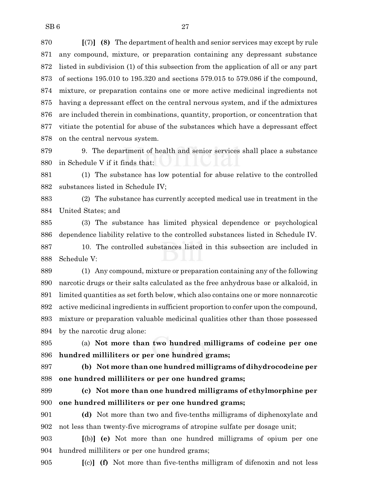**[**(7)**] (8)** The department of health and senior services may except by rule any compound, mixture, or preparation containing any depressant substance listed in subdivision (1) of this subsection from the application of all or any part of sections 195.010 to 195.320 and sections 579.015 to 579.086 if the compound, mixture, or preparation contains one or more active medicinal ingredients not having a depressant effect on the central nervous system, and if the admixtures are included therein in combinations, quantity, proportion, or concentration that vitiate the potential for abuse of the substances which have a depressant effect on the central nervous system.

 9. The department of health and senior services shall place a substance in Schedule V if it finds that:

 (1) The substance has low potential for abuse relative to the controlled substances listed in Schedule IV;

 (2) The substance has currently accepted medical use in treatment in the United States; and

 (3) The substance has limited physical dependence or psychological dependence liability relative to the controlled substances listed in Schedule IV.

 10. The controlled substances listed in this subsection are included in Schedule V:

 (1) Any compound, mixture or preparation containing any of the following narcotic drugs or their salts calculated as the free anhydrous base or alkaloid, in limited quantities as set forth below, which also contains one or more nonnarcotic active medicinal ingredients in sufficient proportion to confer upon the compound, mixture or preparation valuable medicinal qualities other than those possessed by the narcotic drug alone:

 (a) **Not more than two hundred milligrams of codeine per one hundred milliliters or per one hundred grams;**

 **(b) Not more than one hundred milligrams of dihydrocodeine per one hundred milliliters or per one hundred grams;**

 **(c) Not more than one hundred milligrams of ethylmorphine per one hundred milliliters or per one hundred grams;**

 **(d)** Not more than two and five-tenths milligrams of diphenoxylate and not less than twenty-five micrograms of atropine sulfate per dosage unit;

 **[**(b)**] (e)** Not more than one hundred milligrams of opium per one hundred milliliters or per one hundred grams;

**[**(c)**] (f)** Not more than five-tenths milligram of difenoxin and not less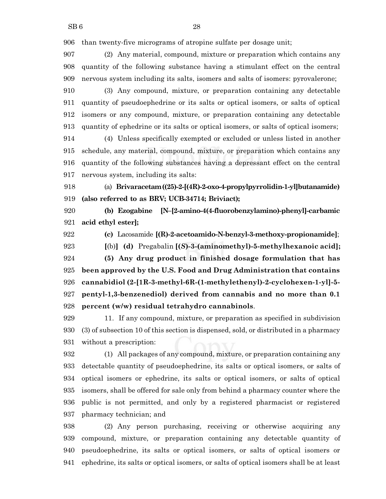than twenty-five micrograms of atropine sulfate per dosage unit;

 (2) Any material, compound, mixture or preparation which contains any quantity of the following substance having a stimulant effect on the central nervous system including its salts, isomers and salts of isomers: pyrovalerone;

 (3) Any compound, mixture, or preparation containing any detectable quantity of pseudoephedrine or its salts or optical isomers, or salts of optical isomers or any compound, mixture, or preparation containing any detectable quantity of ephedrine or its salts or optical isomers, or salts of optical isomers;

 (4) Unless specifically exempted or excluded or unless listed in another schedule, any material, compound, mixture, or preparation which contains any quantity of the following substances having a depressant effect on the central nervous system, including its salts:

 (a) **Brivaracetam((25)-2-[(4R)-2-oxo-4-propylpyrrolidin-1-yl]butanamide) (also referred to as BRV; UCB-34714; Briviact);**

 **(b) Ezogabine [N–[2-amino-4(4-fluorobenzylamino)-phenyl]-carbamic acid ethyl ester];**

**(c)** Lacosamide **[(R)-2-acetoamido-N-benzyl-3-methoxy-propionamide]**;

 **[**(b)**] (d)** Pregabalin **[(***S***)-3-(aminomethyl)-5-methylhexanoic acid]; (5) Any drug product in finished dosage formulation that has been approved by the U.S. Food and Drug Administration that contains cannabidiol (2-[1R-3-methyl-6R-(1-methylethenyl)-2-cyclohexen-1-yl]-5- pentyl-1,3-benzenediol) derived from cannabis and no more than 0.1 percent (w/w) residual tetrahydro cannabinols**.

 11. If any compound, mixture, or preparation as specified in subdivision (3) of subsection 10 of this section is dispensed, sold, or distributed in a pharmacy without a prescription:

 (1) All packages of any compound, mixture, or preparation containing any detectable quantity of pseudoephedrine, its salts or optical isomers, or salts of optical isomers or ephedrine, its salts or optical isomers, or salts of optical isomers, shall be offered for sale only from behind a pharmacy counter where the public is not permitted, and only by a registered pharmacist or registered pharmacy technician; and

 (2) Any person purchasing, receiving or otherwise acquiring any compound, mixture, or preparation containing any detectable quantity of pseudoephedrine, its salts or optical isomers, or salts of optical isomers or ephedrine, its salts or optical isomers, or salts of optical isomers shall be at least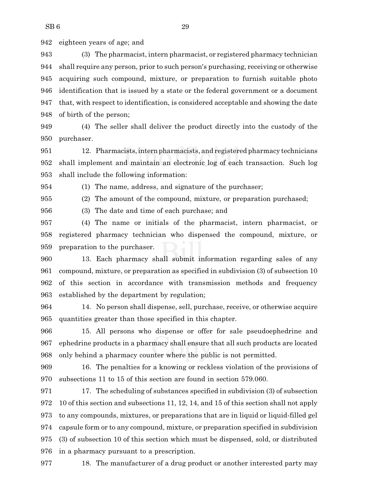eighteen years of age; and

 (3) The pharmacist, intern pharmacist, or registered pharmacy technician shall require any person, prior to such person's purchasing, receiving or otherwise acquiring such compound, mixture, or preparation to furnish suitable photo identification that is issued by a state or the federal government or a document that, with respect to identification, is considered acceptable and showing the date of birth of the person;

 (4) The seller shall deliver the product directly into the custody of the purchaser.

 12. Pharmacists,internpharmacists, and registered pharmacy technicians shall implement and maintain an electronic log of each transaction. Such log shall include the following information:

(1) The name, address, and signature of the purchaser;

(2) The amount of the compound, mixture, or preparation purchased;

(3) The date and time of each purchase; and

 (4) The name or initials of the pharmacist, intern pharmacist, or registered pharmacy technician who dispensed the compound, mixture, or preparation to the purchaser.

 13. Each pharmacy shall submit information regarding sales of any compound, mixture, or preparation as specified in subdivision (3) of subsection 10 of this section in accordance with transmission methods and frequency established by the department by regulation;

 14. No person shall dispense, sell, purchase, receive, or otherwise acquire quantities greater than those specified in this chapter.

 15. All persons who dispense or offer for sale pseudoephedrine and ephedrine products in a pharmacy shall ensure that all such products are located only behind a pharmacy counter where the public is not permitted.

 16. The penalties for a knowing or reckless violation of the provisions of subsections 11 to 15 of this section are found in section 579.060.

 17. The scheduling of substances specified in subdivision (3) of subsection 10 of this section and subsections 11, 12, 14, and 15 of this section shall not apply to any compounds, mixtures, or preparations that are in liquid or liquid-filled gel capsule form or to any compound, mixture, or preparation specified in subdivision (3) of subsection 10 of this section which must be dispensed, sold, or distributed in a pharmacy pursuant to a prescription.

18. The manufacturer of a drug product or another interested party may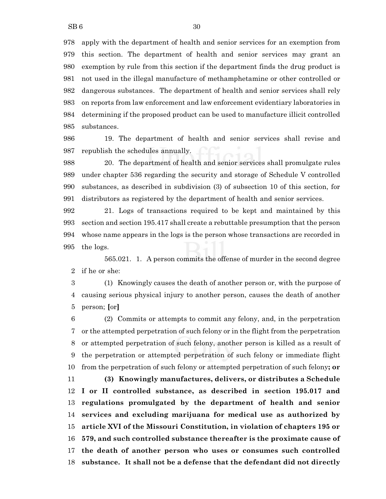apply with the department of health and senior services for an exemption from this section. The department of health and senior services may grant an exemption by rule from this section if the department finds the drug product is not used in the illegal manufacture of methamphetamine or other controlled or dangerous substances. The department of health and senior services shall rely on reports from law enforcement and law enforcement evidentiary laboratories in determining if the proposed product can be used to manufacture illicit controlled substances.

 19. The department of health and senior services shall revise and republish the schedules annually.

 20. The department of health and senior services shall promulgate rules under chapter 536 regarding the security and storage of Schedule V controlled substances, as described in subdivision (3) of subsection 10 of this section, for distributors as registered by the department of health and senior services.

 21. Logs of transactions required to be kept and maintained by this section and section 195.417 shall create a rebuttable presumption that the person whose name appears in the logs is the person whose transactions are recorded in the logs.

565.021. 1. A person commits the offense of murder in the second degree if he or she:

 (1) Knowingly causes the death of another person or, with the purpose of causing serious physical injury to another person, causes the death of another person; **[**or**]**

 (2) Commits or attempts to commit any felony, and, in the perpetration or the attempted perpetration of such felony or in the flight from the perpetration or attempted perpetration of such felony, another person is killed as a result of the perpetration or attempted perpetration of such felony or immediate flight from the perpetration of such felony or attempted perpetration of such felony**; or**

 **(3) Knowingly manufactures, delivers, or distributes a Schedule I or II controlled substance, as described in section 195.017 and regulations promulgated by the department of health and senior services and excluding marijuana for medical use as authorized by article XVI of the Missouri Constitution, in violation of chapters 195 or 579, and such controlled substance thereafter is the proximate cause of the death of another person who uses or consumes such controlled substance. It shall not be a defense that the defendant did not directly**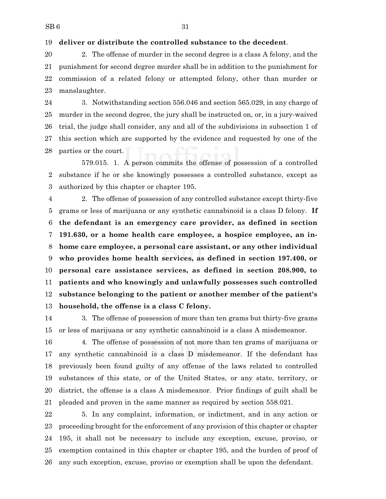#### **deliver or distribute the controlled substance to the decedent**.

 2. The offense of murder in the second degree is a class A felony, and the punishment for second degree murder shall be in addition to the punishment for commission of a related felony or attempted felony, other than murder or manslaughter.

 3. Notwithstanding section 556.046 and section 565.029, in any charge of murder in the second degree, the jury shall be instructed on, or, in a jury-waived trial, the judge shall consider, any and all of the subdivisions in subsection 1 of this section which are supported by the evidence and requested by one of the parties or the court.

579.015. 1. A person commits the offense of possession of a controlled substance if he or she knowingly possesses a controlled substance, except as authorized by this chapter or chapter 195.

 2. The offense of possession of any controlled substance except thirty-five grams or less of marijuana or any synthetic cannabinoid is a class D felony. **If the defendant is an emergency care provider, as defined in section 191.630, or a home health care employee, a hospice employee, an in- home care employee, a personal care assistant, or any other individual who provides home health services, as defined in section 197.400, or personal care assistance services, as defined in section 208.900, to patients and who knowingly and unlawfully possesses such controlled substance belonging to the patient or another member of the patient's household, the offense is a class C felony.**

 3. The offense of possession of more than ten grams but thirty-five grams or less of marijuana or any synthetic cannabinoid is a class A misdemeanor.

 4. The offense of possession of not more than ten grams of marijuana or any synthetic cannabinoid is a class D misdemeanor. If the defendant has previously been found guilty of any offense of the laws related to controlled substances of this state, or of the United States, or any state, territory, or district, the offense is a class A misdemeanor. Prior findings of guilt shall be pleaded and proven in the same manner as required by section 558.021.

 5. In any complaint, information, or indictment, and in any action or proceeding brought for the enforcement of any provision of this chapter or chapter 195, it shall not be necessary to include any exception, excuse, proviso, or exemption contained in this chapter or chapter 195, and the burden of proof of any such exception, excuse, proviso or exemption shall be upon the defendant.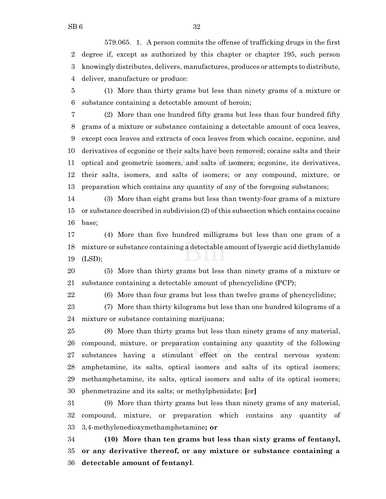579.065. 1. A person commits the offense of trafficking drugs in the first degree if, except as authorized by this chapter or chapter 195, such person knowingly distributes, delivers, manufactures, produces or attempts to distribute, deliver, manufacture or produce:

 (1) More than thirty grams but less than ninety grams of a mixture or substance containing a detectable amount of heroin;

 (2) More than one hundred fifty grams but less than four hundred fifty grams of a mixture or substance containing a detectable amount of coca leaves, except coca leaves and extracts of coca leaves from which cocaine, ecgonine, and derivatives of ecgonine or their salts have been removed; cocaine salts and their optical and geometric isomers, and salts of isomers; ecgonine, its derivatives, their salts, isomers, and salts of isomers; or any compound, mixture, or preparation which contains any quantity of any of the foregoing substances;

 (3) More than eight grams but less than twenty-four grams of a mixture or substance described in subdivision (2) of this subsection which contains cocaine base;

 (4) More than five hundred milligrams but less than one gram of a mixture or substance containing a detectable amount of lysergic acid diethylamide (LSD);

 (5) More than thirty grams but less than ninety grams of a mixture or substance containing a detectable amount of phencyclidine (PCP);

(6) More than four grams but less than twelve grams of phencyclidine;

 (7) More than thirty kilograms but less than one hundred kilograms of a mixture or substance containing marijuana;

 (8) More than thirty grams but less than ninety grams of any material, compound, mixture, or preparation containing any quantity of the following substances having a stimulant effect on the central nervous system: amphetamine, its salts, optical isomers and salts of its optical isomers; methamphetamine, its salts, optical isomers and salts of its optical isomers; phenmetrazine and its salts; or methylphenidate; **[**or**]**

 (9) More than thirty grams but less than ninety grams of any material, compound, mixture, or preparation which contains any quantity of 3,4-methylenedioxymethamphetamine**; or**

 **(10) More than ten grams but less than sixty grams of fentanyl, or any derivative thereof, or any mixture or substance containing a detectable amount of fentanyl**.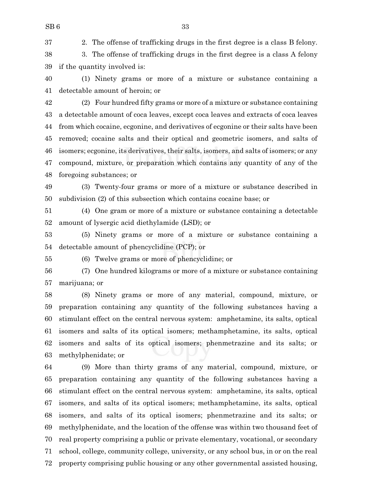2. The offense of trafficking drugs in the first degree is a class B felony.

 3. The offense of trafficking drugs in the first degree is a class A felony if the quantity involved is:

 (1) Ninety grams or more of a mixture or substance containing a detectable amount of heroin; or

 (2) Four hundred fifty grams or more of a mixture or substance containing a detectable amount of coca leaves, except coca leaves and extracts of coca leaves from which cocaine, ecgonine, and derivatives of ecgonine or their salts have been removed; cocaine salts and their optical and geometric isomers, and salts of isomers; ecgonine, its derivatives, their salts, isomers, and salts of isomers; or any compound, mixture, or preparation which contains any quantity of any of the foregoing substances; or

 (3) Twenty-four grams or more of a mixture or substance described in subdivision (2) of this subsection which contains cocaine base; or

 (4) One gram or more of a mixture or substance containing a detectable amount of lysergic acid diethylamide (LSD); or

 (5) Ninety grams or more of a mixture or substance containing a detectable amount of phencyclidine (PCP); or

(6) Twelve grams or more of phencyclidine; or

 (7) One hundred kilograms or more of a mixture or substance containing marijuana; or

 (8) Ninety grams or more of any material, compound, mixture, or preparation containing any quantity of the following substances having a stimulant effect on the central nervous system: amphetamine, its salts, optical isomers and salts of its optical isomers; methamphetamine, its salts, optical isomers and salts of its optical isomers; phenmetrazine and its salts; or methylphenidate; or

 (9) More than thirty grams of any material, compound, mixture, or preparation containing any quantity of the following substances having a stimulant effect on the central nervous system: amphetamine, its salts, optical isomers, and salts of its optical isomers; methamphetamine, its salts, optical isomers, and salts of its optical isomers; phenmetrazine and its salts; or methylphenidate, and the location of the offense was within two thousand feet of real property comprising a public or private elementary, vocational, or secondary school, college, community college, university, or any school bus, in or on the real property comprising public housing or any other governmental assisted housing,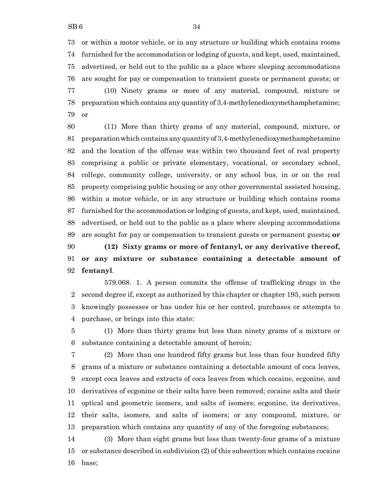or within a motor vehicle, or in any structure or building which contains rooms furnished for the accommodation or lodging of guests, and kept, used, maintained, advertised, or held out to the public as a place where sleeping accommodations are sought for pay or compensation to transient guests or permanent guests; or (10) Ninety grams or more of any material, compound, mixture or

 preparation which contains any quantity of 3,4-methylenedioxymethamphetamine; or

 (11) More than thirty grams of any material, compound, mixture, or preparation which contains any quantity of 3,4-methylenedioxymethamphetamine and the location of the offense was within two thousand feet of real property comprising a public or private elementary, vocational, or secondary school, college, community college, university, or any school bus, in or on the real property comprising public housing or any other governmental assisted housing, within a motor vehicle, or in any structure or building which contains rooms furnished for the accommodation or lodging of guests, and kept, used, maintained, advertised, or held out to the public as a place where sleeping accommodations are sought for pay or compensation to transient guests or permanent guests**; or (12) Sixty grams or more of fentanyl, or any derivative thereof,**

 **or any mixture or substance containing a detectable amount of fentanyl**.

579.068. 1. A person commits the offense of trafficking drugs in the second degree if, except as authorized by this chapter or chapter 195, such person knowingly possesses or has under his or her control, purchases or attempts to purchase, or brings into this state:

 (1) More than thirty grams but less than ninety grams of a mixture or substance containing a detectable amount of heroin;

 (2) More than one hundred fifty grams but less than four hundred fifty grams of a mixture or substance containing a detectable amount of coca leaves, except coca leaves and extracts of coca leaves from which cocaine, ecgonine, and derivatives of ecgonine or their salts have been removed; cocaine salts and their optical and geometric isomers, and salts of isomers; ecgonine, its derivatives, their salts, isomers, and salts of isomers; or any compound, mixture, or preparation which contains any quantity of any of the foregoing substances;

 (3) More than eight grams but less than twenty-four grams of a mixture or substance described in subdivision (2) of this subsection which contains cocaine base;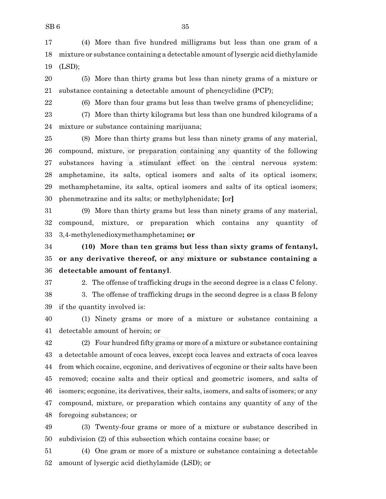(4) More than five hundred milligrams but less than one gram of a mixture or substance containing a detectable amount of lysergic acid diethylamide (LSD);

 (5) More than thirty grams but less than ninety grams of a mixture or substance containing a detectable amount of phencyclidine (PCP);

(6) More than four grams but less than twelve grams of phencyclidine;

 (7) More than thirty kilograms but less than one hundred kilograms of a mixture or substance containing marijuana;

 (8) More than thirty grams but less than ninety grams of any material, compound, mixture, or preparation containing any quantity of the following substances having a stimulant effect on the central nervous system: amphetamine, its salts, optical isomers and salts of its optical isomers; methamphetamine, its salts, optical isomers and salts of its optical isomers; phenmetrazine and its salts; or methylphenidate; **[**or**]**

 (9) More than thirty grams but less than ninety grams of any material, compound, mixture, or preparation which contains any quantity of 3,4-methylenedioxymethamphetamine**; or**

 **(10) More than ten grams but less than sixty grams of fentanyl, or any derivative thereof, or any mixture or substance containing a detectable amount of fentanyl**.

 2. The offense of trafficking drugs in the second degree is a class C felony. 3. The offense of trafficking drugs in the second degree is a class B felony if the quantity involved is:

 (1) Ninety grams or more of a mixture or substance containing a detectable amount of heroin; or

 (2) Four hundred fifty grams or more of a mixture or substance containing a detectable amount of coca leaves, except coca leaves and extracts of coca leaves from which cocaine, ecgonine, and derivatives of ecgonine or their salts have been removed; cocaine salts and their optical and geometric isomers, and salts of isomers; ecgonine, its derivatives, their salts, isomers, and salts of isomers; or any compound, mixture, or preparation which contains any quantity of any of the foregoing substances; or

 (3) Twenty-four grams or more of a mixture or substance described in subdivision (2) of this subsection which contains cocaine base; or

 (4) One gram or more of a mixture or substance containing a detectable amount of lysergic acid diethylamide (LSD); or